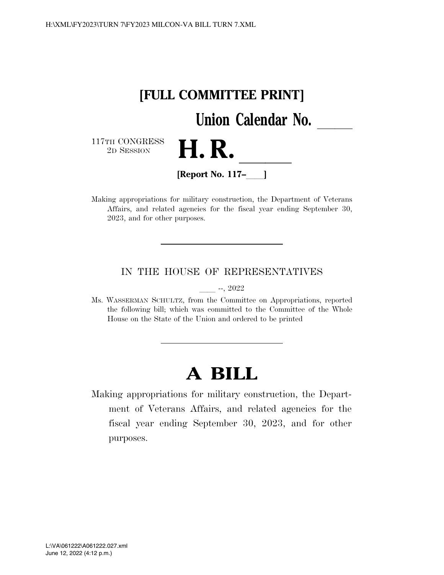

Making appropriations for military construction, the Department of Veterans Affairs, and related agencies for the fiscal year ending September 30, 2023, and for other purposes.

### IN THE HOUSE OF REPRESENTATIVES

 $-$ , 2022

Ms. WASSERMAN SCHULTZ, from the Committee on Appropriations, reported the following bill; which was committed to the Committee of the Whole House on the State of the Union and ordered to be printed

# **A BILL**

Making appropriations for military construction, the Department of Veterans Affairs, and related agencies for the fiscal year ending September 30, 2023, and for other purposes.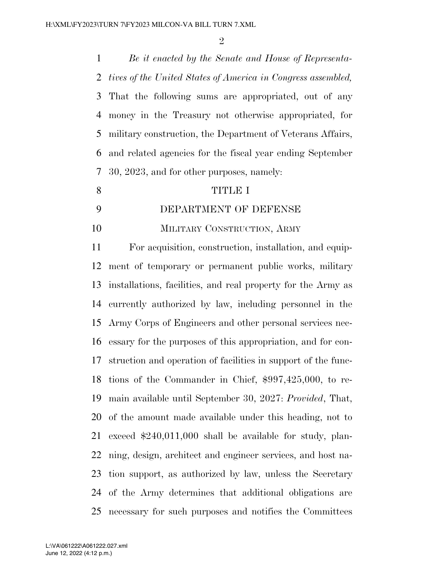$\mathfrak{D}$ 

 *Be it enacted by the Senate and House of Representa- tives of the United States of America in Congress assembled,*  That the following sums are appropriated, out of any money in the Treasury not otherwise appropriated, for military construction, the Department of Veterans Affairs, and related agencies for the fiscal year ending September 30, 2023, and for other purposes, namely:

#### TITLE I

DEPARTMENT OF DEFENSE

MILITARY CONSTRUCTION, ARMY

 For acquisition, construction, installation, and equip- ment of temporary or permanent public works, military installations, facilities, and real property for the Army as currently authorized by law, including personnel in the Army Corps of Engineers and other personal services nec- essary for the purposes of this appropriation, and for con- struction and operation of facilities in support of the func- tions of the Commander in Chief, \$997,425,000, to re- main available until September 30, 2027: *Provided*, That, of the amount made available under this heading, not to exceed \$240,011,000 shall be available for study, plan- ning, design, architect and engineer services, and host na- tion support, as authorized by law, unless the Secretary of the Army determines that additional obligations are necessary for such purposes and notifies the Committees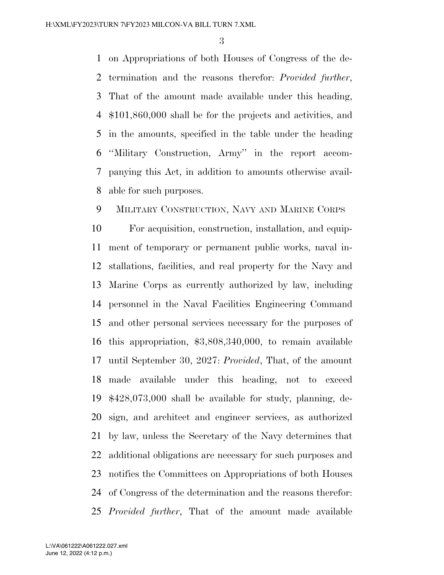on Appropriations of both Houses of Congress of the de- termination and the reasons therefor: *Provided further*, That of the amount made available under this heading, \$101,860,000 shall be for the projects and activities, and in the amounts, specified in the table under the heading ''Military Construction, Army'' in the report accom- panying this Act, in addition to amounts otherwise avail-able for such purposes.

# MILITARY CONSTRUCTION, NAVY AND MARINE CORPS

 For acquisition, construction, installation, and equip- ment of temporary or permanent public works, naval in- stallations, facilities, and real property for the Navy and Marine Corps as currently authorized by law, including personnel in the Naval Facilities Engineering Command and other personal services necessary for the purposes of this appropriation, \$3,808,340,000, to remain available until September 30, 2027: *Provided*, That, of the amount made available under this heading, not to exceed \$428,073,000 shall be available for study, planning, de- sign, and architect and engineer services, as authorized by law, unless the Secretary of the Navy determines that additional obligations are necessary for such purposes and notifies the Committees on Appropriations of both Houses of Congress of the determination and the reasons therefor: *Provided further*, That of the amount made available

June 12, 2022 (4:12 p.m.) L:\VA\061222\A061222.027.xml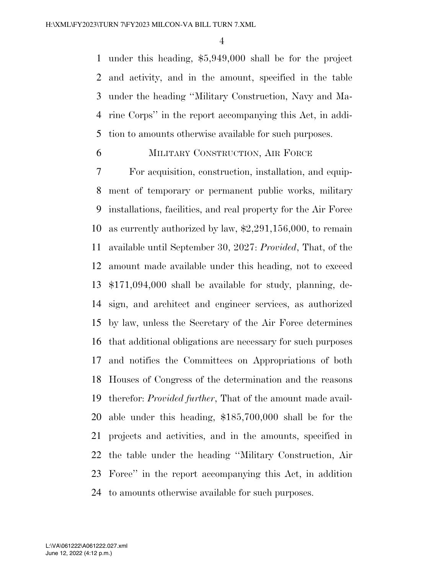under this heading, \$5,949,000 shall be for the project and activity, and in the amount, specified in the table under the heading ''Military Construction, Navy and Ma- rine Corps'' in the report accompanying this Act, in addi-tion to amounts otherwise available for such purposes.

### MILITARY CONSTRUCTION, AIR FORCE

 For acquisition, construction, installation, and equip- ment of temporary or permanent public works, military installations, facilities, and real property for the Air Force as currently authorized by law, \$2,291,156,000, to remain available until September 30, 2027: *Provided*, That, of the amount made available under this heading, not to exceed \$171,094,000 shall be available for study, planning, de- sign, and architect and engineer services, as authorized by law, unless the Secretary of the Air Force determines that additional obligations are necessary for such purposes and notifies the Committees on Appropriations of both Houses of Congress of the determination and the reasons therefor: *Provided further*, That of the amount made avail- able under this heading, \$185,700,000 shall be for the projects and activities, and in the amounts, specified in the table under the heading ''Military Construction, Air Force'' in the report accompanying this Act, in addition to amounts otherwise available for such purposes.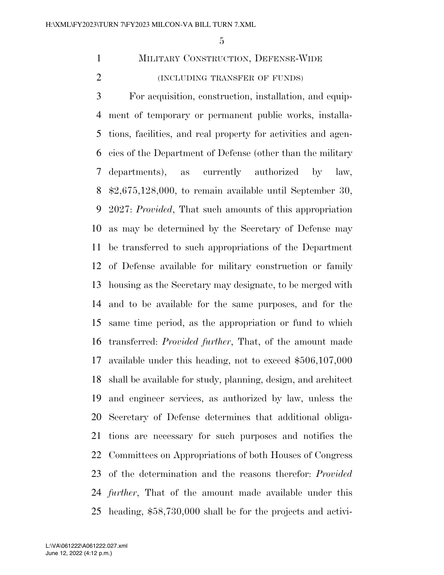MILITARY CONSTRUCTION, DEFENSE-WIDE (INCLUDING TRANSFER OF FUNDS)

 For acquisition, construction, installation, and equip- ment of temporary or permanent public works, installa- tions, facilities, and real property for activities and agen- cies of the Department of Defense (other than the military departments), as currently authorized by law, \$2,675,128,000, to remain available until September 30, 2027: *Provided*, That such amounts of this appropriation as may be determined by the Secretary of Defense may be transferred to such appropriations of the Department of Defense available for military construction or family housing as the Secretary may designate, to be merged with and to be available for the same purposes, and for the same time period, as the appropriation or fund to which transferred: *Provided further*, That, of the amount made available under this heading, not to exceed \$506,107,000 shall be available for study, planning, design, and architect and engineer services, as authorized by law, unless the Secretary of Defense determines that additional obliga- tions are necessary for such purposes and notifies the Committees on Appropriations of both Houses of Congress of the determination and the reasons therefor: *Provided further*, That of the amount made available under this heading, \$58,730,000 shall be for the projects and activi-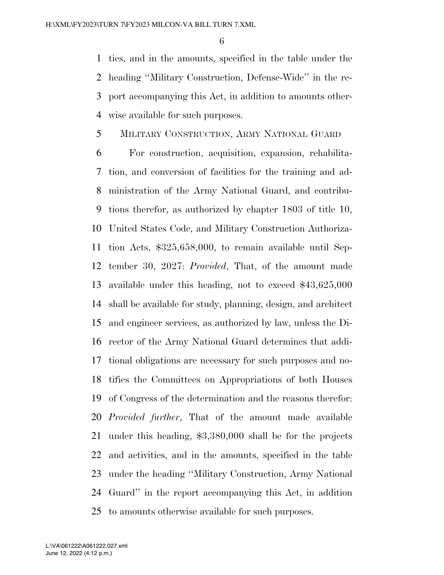ties, and in the amounts, specified in the table under the heading ''Military Construction, Defense-Wide'' in the re- port accompanying this Act, in addition to amounts other-wise available for such purposes.

# MILITARY CONSTRUCTION, ARMY NATIONAL GUARD

 For construction, acquisition, expansion, rehabilita- tion, and conversion of facilities for the training and ad- ministration of the Army National Guard, and contribu- tions therefor, as authorized by chapter 1803 of title 10, United States Code, and Military Construction Authoriza- tion Acts, \$325,658,000, to remain available until Sep- tember 30, 2027: *Provided*, That, of the amount made available under this heading, not to exceed \$43,625,000 shall be available for study, planning, design, and architect and engineer services, as authorized by law, unless the Di- rector of the Army National Guard determines that addi- tional obligations are necessary for such purposes and no- tifies the Committees on Appropriations of both Houses of Congress of the determination and the reasons therefor: *Provided further*, That of the amount made available under this heading, \$3,380,000 shall be for the projects and activities, and in the amounts, specified in the table under the heading ''Military Construction, Army National Guard'' in the report accompanying this Act, in addition to amounts otherwise available for such purposes.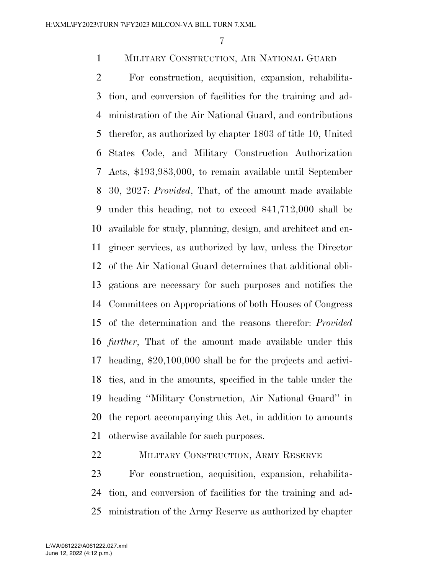## MILITARY CONSTRUCTION, AIR NATIONAL GUARD

 For construction, acquisition, expansion, rehabilita- tion, and conversion of facilities for the training and ad- ministration of the Air National Guard, and contributions therefor, as authorized by chapter 1803 of title 10, United States Code, and Military Construction Authorization Acts, \$193,983,000, to remain available until September 30, 2027: *Provided*, That, of the amount made available under this heading, not to exceed \$41,712,000 shall be available for study, planning, design, and architect and en- gineer services, as authorized by law, unless the Director of the Air National Guard determines that additional obli- gations are necessary for such purposes and notifies the Committees on Appropriations of both Houses of Congress of the determination and the reasons therefor: *Provided further*, That of the amount made available under this heading, \$20,100,000 shall be for the projects and activi- ties, and in the amounts, specified in the table under the heading ''Military Construction, Air National Guard'' in the report accompanying this Act, in addition to amounts otherwise available for such purposes.

### MILITARY CONSTRUCTION, ARMY RESERVE

 For construction, acquisition, expansion, rehabilita- tion, and conversion of facilities for the training and ad-ministration of the Army Reserve as authorized by chapter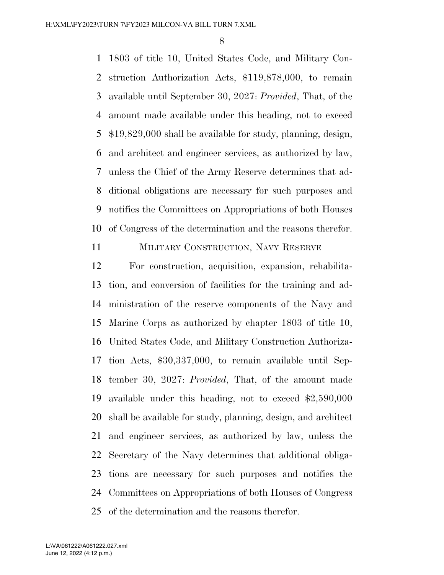1803 of title 10, United States Code, and Military Con- struction Authorization Acts, \$119,878,000, to remain available until September 30, 2027: *Provided*, That, of the amount made available under this heading, not to exceed \$19,829,000 shall be available for study, planning, design, and architect and engineer services, as authorized by law, unless the Chief of the Army Reserve determines that ad- ditional obligations are necessary for such purposes and notifies the Committees on Appropriations of both Houses of Congress of the determination and the reasons therefor.

MILITARY CONSTRUCTION, NAVY RESERVE

 For construction, acquisition, expansion, rehabilita- tion, and conversion of facilities for the training and ad- ministration of the reserve components of the Navy and Marine Corps as authorized by chapter 1803 of title 10, United States Code, and Military Construction Authoriza- tion Acts, \$30,337,000, to remain available until Sep- tember 30, 2027: *Provided*, That, of the amount made available under this heading, not to exceed \$2,590,000 shall be available for study, planning, design, and architect and engineer services, as authorized by law, unless the Secretary of the Navy determines that additional obliga- tions are necessary for such purposes and notifies the Committees on Appropriations of both Houses of Congress of the determination and the reasons therefor.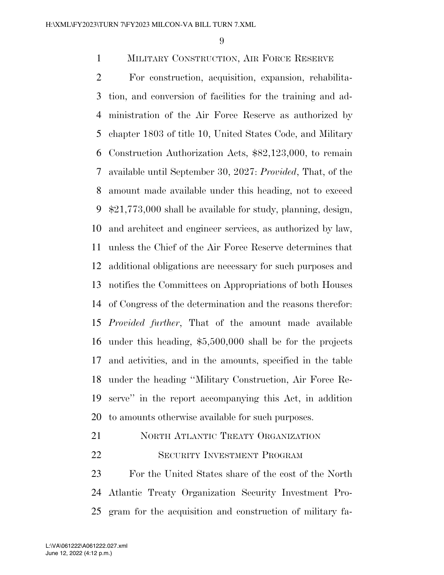### MILITARY CONSTRUCTION, AIR FORCE RESERVE

 For construction, acquisition, expansion, rehabilita- tion, and conversion of facilities for the training and ad- ministration of the Air Force Reserve as authorized by chapter 1803 of title 10, United States Code, and Military Construction Authorization Acts, \$82,123,000, to remain available until September 30, 2027: *Provided*, That, of the amount made available under this heading, not to exceed \$21,773,000 shall be available for study, planning, design, and architect and engineer services, as authorized by law, unless the Chief of the Air Force Reserve determines that additional obligations are necessary for such purposes and notifies the Committees on Appropriations of both Houses of Congress of the determination and the reasons therefor: *Provided further*, That of the amount made available under this heading, \$5,500,000 shall be for the projects and activities, and in the amounts, specified in the table under the heading ''Military Construction, Air Force Re- serve'' in the report accompanying this Act, in addition to amounts otherwise available for such purposes.

# 21 NORTH ATLANTIC TREATY ORGANIZATION

### SECURITY INVESTMENT PROGRAM

 For the United States share of the cost of the North Atlantic Treaty Organization Security Investment Pro-gram for the acquisition and construction of military fa-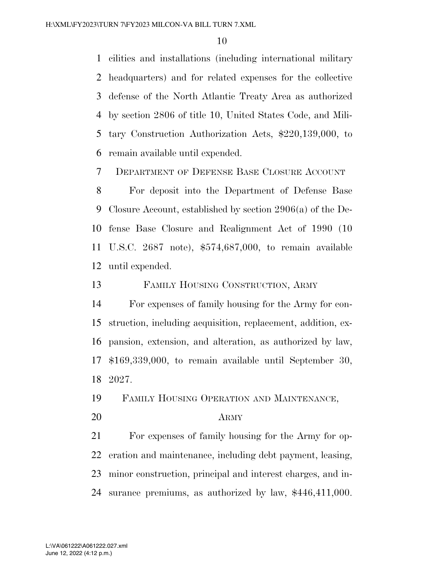cilities and installations (including international military headquarters) and for related expenses for the collective defense of the North Atlantic Treaty Area as authorized by section 2806 of title 10, United States Code, and Mili- tary Construction Authorization Acts, \$220,139,000, to remain available until expended.

DEPARTMENT OF DEFENSE BASE CLOSURE ACCOUNT

 For deposit into the Department of Defense Base Closure Account, established by section 2906(a) of the De- fense Base Closure and Realignment Act of 1990 (10 U.S.C. 2687 note), \$574,687,000, to remain available until expended.

FAMILY HOUSING CONSTRUCTION, ARMY

 For expenses of family housing for the Army for con- struction, including acquisition, replacement, addition, ex- pansion, extension, and alteration, as authorized by law, \$169,339,000, to remain available until September 30, 2027.

FAMILY HOUSING OPERATION AND MAINTENANCE,

ARMY

 For expenses of family housing for the Army for op- eration and maintenance, including debt payment, leasing, minor construction, principal and interest charges, and in-surance premiums, as authorized by law, \$446,411,000.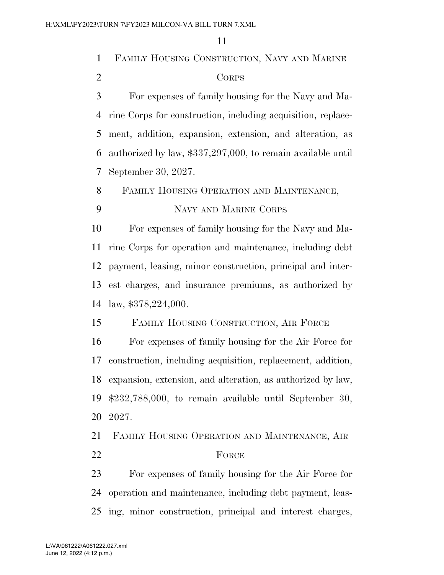|                | 11                                                             |  |  |  |  |
|----------------|----------------------------------------------------------------|--|--|--|--|
| $\mathbf{1}$   | FAMILY HOUSING CONSTRUCTION, NAVY AND MARINE                   |  |  |  |  |
| $\overline{2}$ | <b>CORPS</b>                                                   |  |  |  |  |
| 3              | For expenses of family housing for the Navy and Ma-            |  |  |  |  |
| $\overline{4}$ | rine Corps for construction, including acquisition, replace-   |  |  |  |  |
| 5              | ment, addition, expansion, extension, and alteration, as       |  |  |  |  |
| 6              | authorized by law, \$337,297,000, to remain available until    |  |  |  |  |
| 7              | September 30, 2027.                                            |  |  |  |  |
| 8              | FAMILY HOUSING OPERATION AND MAINTENANCE,                      |  |  |  |  |
| 9              | NAVY AND MARINE CORPS                                          |  |  |  |  |
| 10             | For expenses of family housing for the Navy and Ma-            |  |  |  |  |
| 11             | rine Corps for operation and maintenance, including debt       |  |  |  |  |
| 12             | payment, leasing, minor construction, principal and inter-     |  |  |  |  |
| 13             | est charges, and insurance premiums, as authorized by          |  |  |  |  |
| 14             | law, $$378,224,000$ .                                          |  |  |  |  |
| 15             | FAMILY HOUSING CONSTRUCTION, AIR FORCE                         |  |  |  |  |
| 16             | For expenses of family housing for the Air Force for           |  |  |  |  |
|                | 17 construction, including acquisition, replacement, addition, |  |  |  |  |
| 18             | expansion, extension, and alteration, as authorized by law,    |  |  |  |  |
| 19             | $$232,788,000,$ to remain available until September 30,        |  |  |  |  |
| 20             | 2027.                                                          |  |  |  |  |
| 21             | FAMILY HOUSING OPERATION AND MAINTENANCE, AIR                  |  |  |  |  |
| 22             | FORCE                                                          |  |  |  |  |
| 23             | For expenses of family housing for the Air Force for           |  |  |  |  |
| 24             | operation and maintenance, including debt payment, leas-       |  |  |  |  |
| 25             | ing, minor construction, principal and interest charges,       |  |  |  |  |
|                |                                                                |  |  |  |  |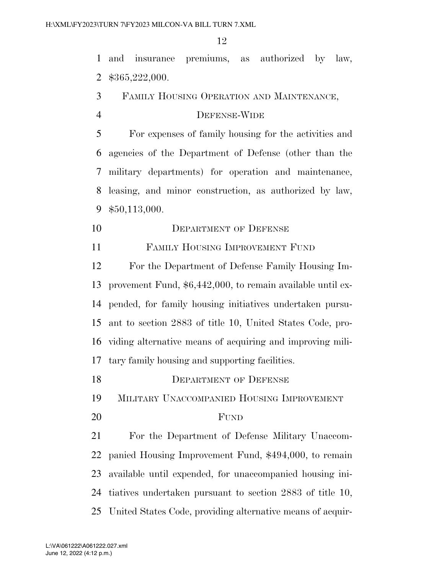and insurance premiums, as authorized by law, \$365,222,000.

FAMILY HOUSING OPERATION AND MAINTENANCE,

### DEFENSE-WIDE

 For expenses of family housing for the activities and agencies of the Department of Defense (other than the military departments) for operation and maintenance, leasing, and minor construction, as authorized by law, \$50,113,000.

10 DEPARTMENT OF DEFENSE

FAMILY HOUSING IMPROVEMENT FUND

 For the Department of Defense Family Housing Im- provement Fund, \$6,442,000, to remain available until ex- pended, for family housing initiatives undertaken pursu- ant to section 2883 of title 10, United States Code, pro- viding alternative means of acquiring and improving mili-tary family housing and supporting facilities.

18 DEPARTMENT OF DEFENSE MILITARY UNACCOMPANIED HOUSING IMPROVEMENT FUND For the Department of Defense Military Unaccom- panied Housing Improvement Fund, \$494,000, to remain available until expended, for unaccompanied housing ini- tiatives undertaken pursuant to section 2883 of title 10, United States Code, providing alternative means of acquir-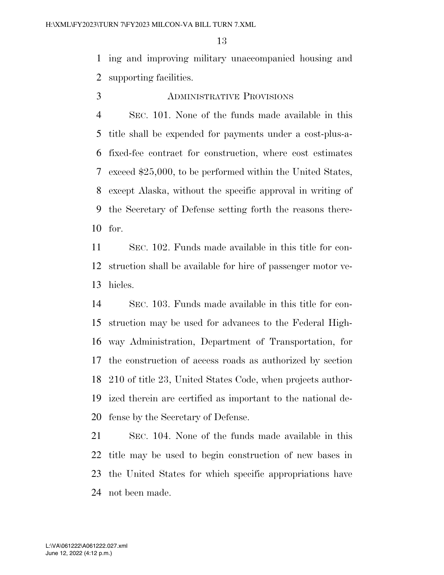ing and improving military unaccompanied housing and supporting facilities.

ADMINISTRATIVE PROVISIONS

# SEC. 101. None of the funds made available in this title shall be expended for payments under a cost-plus-a- fixed-fee contract for construction, where cost estimates exceed \$25,000, to be performed within the United States, except Alaska, without the specific approval in writing of the Secretary of Defense setting forth the reasons there-for.

 SEC. 102. Funds made available in this title for con- struction shall be available for hire of passenger motor ve-hicles.

 SEC. 103. Funds made available in this title for con- struction may be used for advances to the Federal High- way Administration, Department of Transportation, for the construction of access roads as authorized by section 210 of title 23, United States Code, when projects author- ized therein are certified as important to the national de-fense by the Secretary of Defense.

 SEC. 104. None of the funds made available in this title may be used to begin construction of new bases in the United States for which specific appropriations have not been made.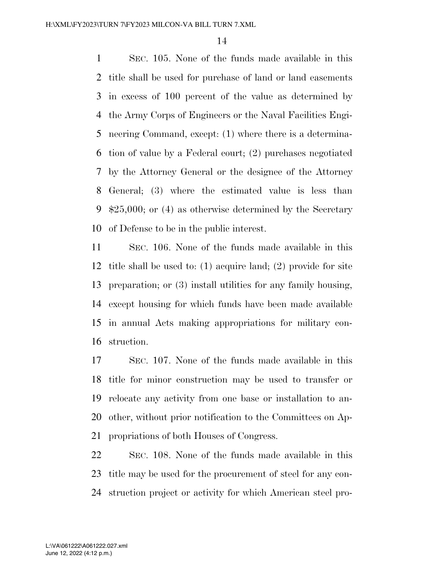SEC. 105. None of the funds made available in this title shall be used for purchase of land or land easements in excess of 100 percent of the value as determined by the Army Corps of Engineers or the Naval Facilities Engi- neering Command, except: (1) where there is a determina- tion of value by a Federal court; (2) purchases negotiated by the Attorney General or the designee of the Attorney General; (3) where the estimated value is less than \$25,000; or (4) as otherwise determined by the Secretary of Defense to be in the public interest.

 SEC. 106. None of the funds made available in this title shall be used to: (1) acquire land; (2) provide for site preparation; or (3) install utilities for any family housing, except housing for which funds have been made available in annual Acts making appropriations for military con-struction.

 SEC. 107. None of the funds made available in this title for minor construction may be used to transfer or relocate any activity from one base or installation to an- other, without prior notification to the Committees on Ap-propriations of both Houses of Congress.

 SEC. 108. None of the funds made available in this title may be used for the procurement of steel for any con-struction project or activity for which American steel pro-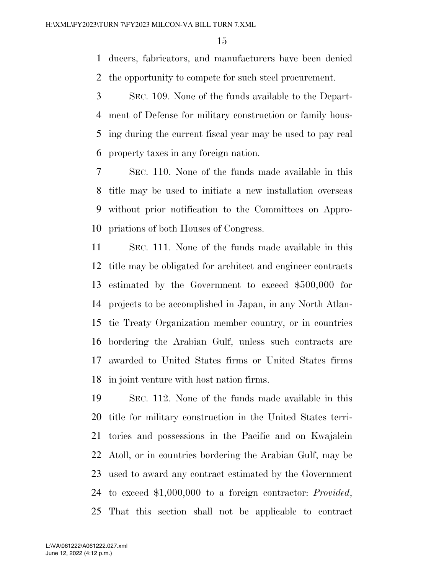ducers, fabricators, and manufacturers have been denied the opportunity to compete for such steel procurement.

 SEC. 109. None of the funds available to the Depart- ment of Defense for military construction or family hous- ing during the current fiscal year may be used to pay real property taxes in any foreign nation.

 SEC. 110. None of the funds made available in this title may be used to initiate a new installation overseas without prior notification to the Committees on Appro-priations of both Houses of Congress.

 SEC. 111. None of the funds made available in this title may be obligated for architect and engineer contracts estimated by the Government to exceed \$500,000 for projects to be accomplished in Japan, in any North Atlan- tic Treaty Organization member country, or in countries bordering the Arabian Gulf, unless such contracts are awarded to United States firms or United States firms in joint venture with host nation firms.

 SEC. 112. None of the funds made available in this title for military construction in the United States terri- tories and possessions in the Pacific and on Kwajalein Atoll, or in countries bordering the Arabian Gulf, may be used to award any contract estimated by the Government to exceed \$1,000,000 to a foreign contractor: *Provided*, That this section shall not be applicable to contract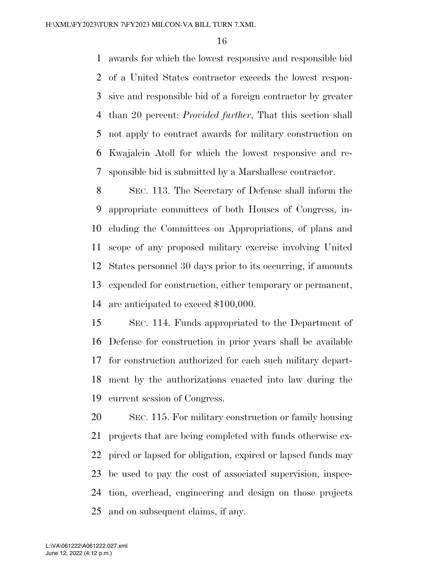awards for which the lowest responsive and responsible bid of a United States contractor exceeds the lowest respon- sive and responsible bid of a foreign contractor by greater than 20 percent: *Provided further*, That this section shall not apply to contract awards for military construction on Kwajalein Atoll for which the lowest responsive and re-sponsible bid is submitted by a Marshallese contractor.

 SEC. 113. The Secretary of Defense shall inform the appropriate committees of both Houses of Congress, in- cluding the Committees on Appropriations, of plans and scope of any proposed military exercise involving United States personnel 30 days prior to its occurring, if amounts expended for construction, either temporary or permanent, are anticipated to exceed \$100,000.

 SEC. 114. Funds appropriated to the Department of Defense for construction in prior years shall be available for construction authorized for each such military depart- ment by the authorizations enacted into law during the current session of Congress.

 SEC. 115. For military construction or family housing projects that are being completed with funds otherwise ex- pired or lapsed for obligation, expired or lapsed funds may be used to pay the cost of associated supervision, inspec- tion, overhead, engineering and design on those projects and on subsequent claims, if any.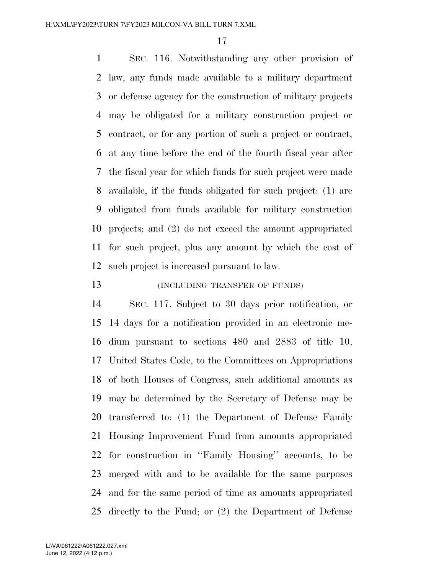SEC. 116. Notwithstanding any other provision of law, any funds made available to a military department or defense agency for the construction of military projects may be obligated for a military construction project or contract, or for any portion of such a project or contract, at any time before the end of the fourth fiscal year after the fiscal year for which funds for such project were made available, if the funds obligated for such project: (1) are obligated from funds available for military construction projects; and (2) do not exceed the amount appropriated for such project, plus any amount by which the cost of such project is increased pursuant to law.

## (INCLUDING TRANSFER OF FUNDS)

 SEC. 117. Subject to 30 days prior notification, or 14 days for a notification provided in an electronic me- dium pursuant to sections 480 and 2883 of title 10, United States Code, to the Committees on Appropriations of both Houses of Congress, such additional amounts as may be determined by the Secretary of Defense may be transferred to: (1) the Department of Defense Family Housing Improvement Fund from amounts appropriated for construction in ''Family Housing'' accounts, to be merged with and to be available for the same purposes and for the same period of time as amounts appropriated directly to the Fund; or (2) the Department of Defense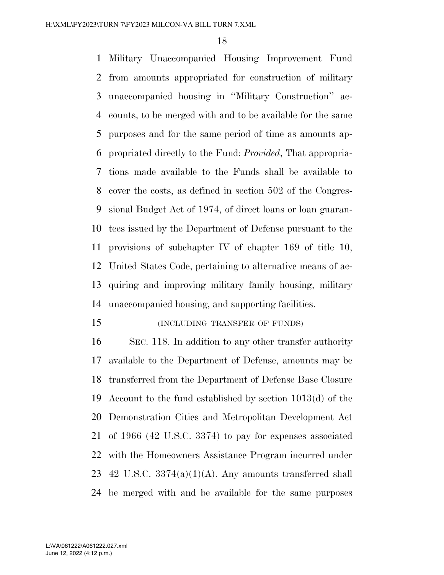Military Unaccompanied Housing Improvement Fund from amounts appropriated for construction of military unaccompanied housing in ''Military Construction'' ac- counts, to be merged with and to be available for the same purposes and for the same period of time as amounts ap- propriated directly to the Fund: *Provided*, That appropria- tions made available to the Funds shall be available to cover the costs, as defined in section 502 of the Congres- sional Budget Act of 1974, of direct loans or loan guaran- tees issued by the Department of Defense pursuant to the provisions of subchapter IV of chapter 169 of title 10, United States Code, pertaining to alternative means of ac- quiring and improving military family housing, military unaccompanied housing, and supporting facilities.

#### (INCLUDING TRANSFER OF FUNDS)

 SEC. 118. In addition to any other transfer authority available to the Department of Defense, amounts may be transferred from the Department of Defense Base Closure Account to the fund established by section 1013(d) of the Demonstration Cities and Metropolitan Development Act of 1966 (42 U.S.C. 3374) to pay for expenses associated with the Homeowners Assistance Program incurred under 23 42 U.S.C.  $3374(a)(1)(A)$ . Any amounts transferred shall be merged with and be available for the same purposes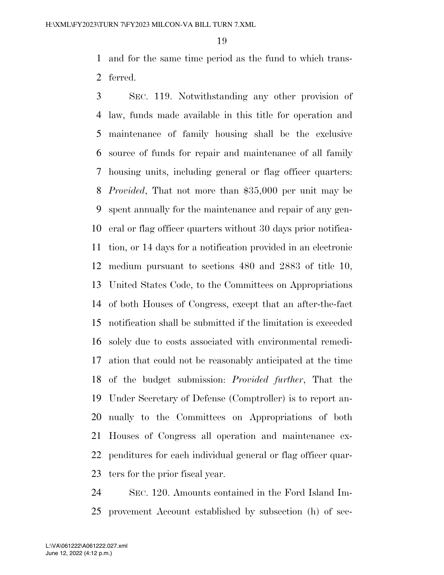and for the same time period as the fund to which trans-ferred.

 SEC. 119. Notwithstanding any other provision of law, funds made available in this title for operation and maintenance of family housing shall be the exclusive source of funds for repair and maintenance of all family housing units, including general or flag officer quarters: *Provided*, That not more than \$35,000 per unit may be spent annually for the maintenance and repair of any gen- eral or flag officer quarters without 30 days prior notifica- tion, or 14 days for a notification provided in an electronic medium pursuant to sections 480 and 2883 of title 10, United States Code, to the Committees on Appropriations of both Houses of Congress, except that an after-the-fact notification shall be submitted if the limitation is exceeded solely due to costs associated with environmental remedi- ation that could not be reasonably anticipated at the time of the budget submission: *Provided further*, That the Under Secretary of Defense (Comptroller) is to report an- nually to the Committees on Appropriations of both Houses of Congress all operation and maintenance ex- penditures for each individual general or flag officer quar-ters for the prior fiscal year.

 SEC. 120. Amounts contained in the Ford Island Im-provement Account established by subsection (h) of sec-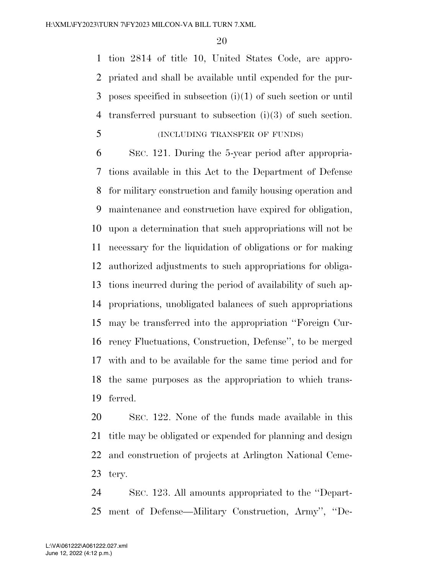tion 2814 of title 10, United States Code, are appro- priated and shall be available until expended for the pur- poses specified in subsection (i)(1) of such section or until transferred pursuant to subsection (i)(3) of such section.

| (INCLUDING TRANSFER OF FUNDS)<br>C |
|------------------------------------|
|------------------------------------|

 SEC. 121. During the 5-year period after appropria- tions available in this Act to the Department of Defense for military construction and family housing operation and maintenance and construction have expired for obligation, upon a determination that such appropriations will not be necessary for the liquidation of obligations or for making authorized adjustments to such appropriations for obliga- tions incurred during the period of availability of such ap- propriations, unobligated balances of such appropriations may be transferred into the appropriation ''Foreign Cur- rency Fluctuations, Construction, Defense'', to be merged with and to be available for the same time period and for the same purposes as the appropriation to which trans-ferred.

 SEC. 122. None of the funds made available in this title may be obligated or expended for planning and design and construction of projects at Arlington National Ceme-tery.

 SEC. 123. All amounts appropriated to the ''Depart-ment of Defense—Military Construction, Army'', ''De-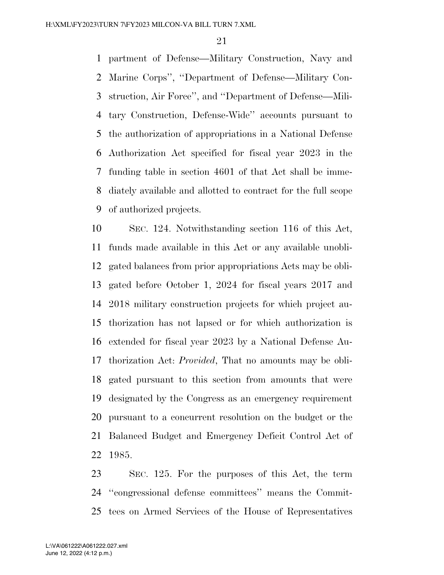partment of Defense—Military Construction, Navy and Marine Corps'', ''Department of Defense—Military Con- struction, Air Force'', and ''Department of Defense—Mili- tary Construction, Defense-Wide'' accounts pursuant to the authorization of appropriations in a National Defense Authorization Act specified for fiscal year 2023 in the funding table in section 4601 of that Act shall be imme- diately available and allotted to contract for the full scope of authorized projects.

 SEC. 124. Notwithstanding section 116 of this Act, funds made available in this Act or any available unobli- gated balances from prior appropriations Acts may be obli- gated before October 1, 2024 for fiscal years 2017 and 2018 military construction projects for which project au- thorization has not lapsed or for which authorization is extended for fiscal year 2023 by a National Defense Au- thorization Act: *Provided*, That no amounts may be obli- gated pursuant to this section from amounts that were designated by the Congress as an emergency requirement pursuant to a concurrent resolution on the budget or the Balanced Budget and Emergency Deficit Control Act of 1985.

 SEC. 125. For the purposes of this Act, the term ''congressional defense committees'' means the Commit-tees on Armed Services of the House of Representatives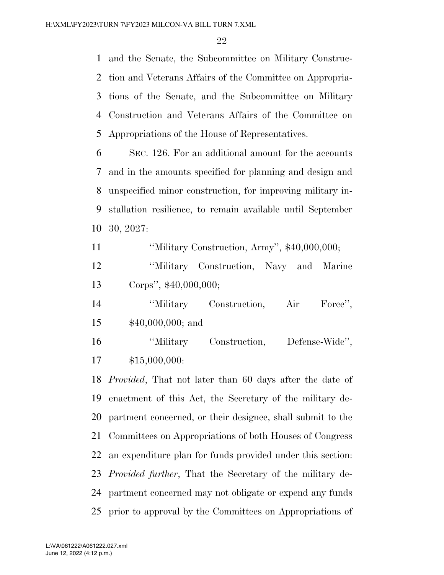and the Senate, the Subcommittee on Military Construc- tion and Veterans Affairs of the Committee on Appropria- tions of the Senate, and the Subcommittee on Military Construction and Veterans Affairs of the Committee on Appropriations of the House of Representatives.

 SEC. 126. For an additional amount for the accounts and in the amounts specified for planning and design and unspecified minor construction, for improving military in- stallation resilience, to remain available until September 30, 2027:

''Military Construction, Army'', \$40,000,000;

 ''Military Construction, Navy and Marine Corps'', \$40,000,000;

 ''Military Construction, Air Force'', \$40,000,000; and

 ''Military Construction, Defense-Wide'', \$15,000,000:

 *Provided*, That not later than 60 days after the date of enactment of this Act, the Secretary of the military de- partment concerned, or their designee, shall submit to the Committees on Appropriations of both Houses of Congress an expenditure plan for funds provided under this section: *Provided further*, That the Secretary of the military de- partment concerned may not obligate or expend any funds prior to approval by the Committees on Appropriations of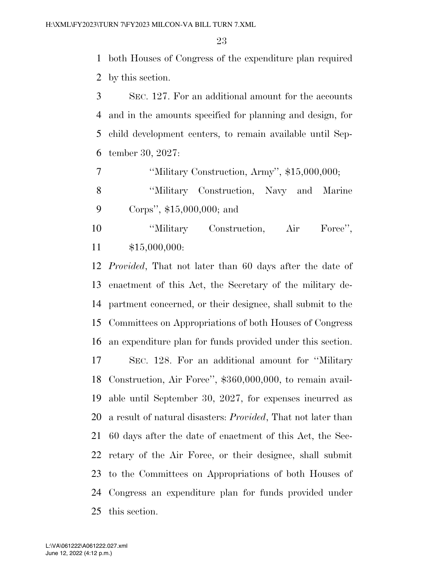both Houses of Congress of the expenditure plan required by this section.

 SEC. 127. For an additional amount for the accounts and in the amounts specified for planning and design, for child development centers, to remain available until Sep-tember 30, 2027:

''Military Construction, Army'', \$15,000,000;

 ''Military Construction, Navy and Marine Corps'', \$15,000,000; and

 ''Military Construction, Air Force'', \$15,000,000:

 *Provided*, That not later than 60 days after the date of enactment of this Act, the Secretary of the military de- partment concerned, or their designee, shall submit to the Committees on Appropriations of both Houses of Congress an expenditure plan for funds provided under this section. SEC. 128. For an additional amount for ''Military Construction, Air Force'', \$360,000,000, to remain avail- able until September 30, 2027, for expenses incurred as a result of natural disasters: *Provided*, That not later than 60 days after the date of enactment of this Act, the Sec- retary of the Air Force, or their designee, shall submit to the Committees on Appropriations of both Houses of Congress an expenditure plan for funds provided under this section.

June 12, 2022 (4:12 p.m.) L:\VA\061222\A061222.027.xml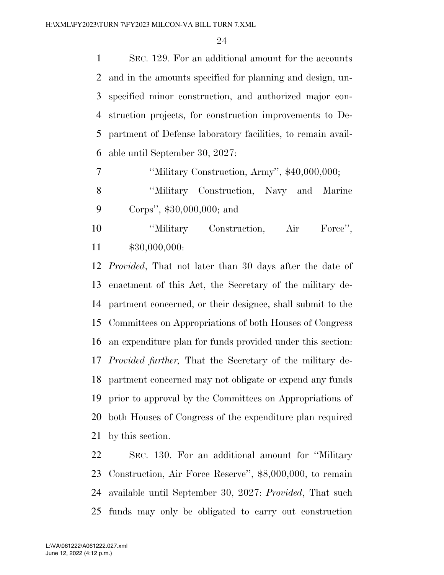SEC. 129. For an additional amount for the accounts and in the amounts specified for planning and design, un- specified minor construction, and authorized major con- struction projects, for construction improvements to De- partment of Defense laboratory facilities, to remain avail-able until September 30, 2027:

7 ''Military Construction, Army'', \$40,000,000;

 ''Military Construction, Navy and Marine Corps'', \$30,000,000; and

 ''Military Construction, Air Force'', \$30,000,000:

 *Provided*, That not later than 30 days after the date of enactment of this Act, the Secretary of the military de- partment concerned, or their designee, shall submit to the Committees on Appropriations of both Houses of Congress an expenditure plan for funds provided under this section: *Provided further,* That the Secretary of the military de- partment concerned may not obligate or expend any funds prior to approval by the Committees on Appropriations of both Houses of Congress of the expenditure plan required by this section.

 SEC. 130. For an additional amount for ''Military Construction, Air Force Reserve'', \$8,000,000, to remain available until September 30, 2027: *Provided*, That such funds may only be obligated to carry out construction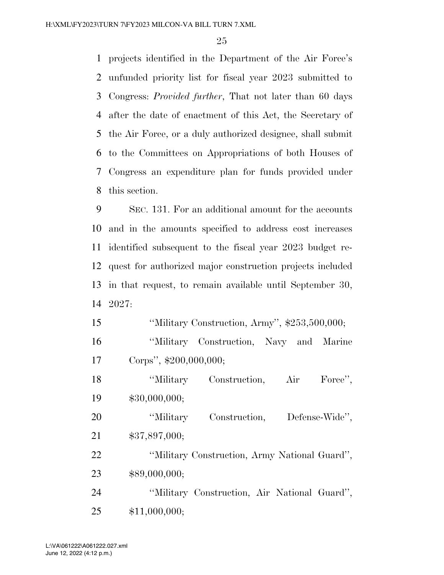projects identified in the Department of the Air Force's unfunded priority list for fiscal year 2023 submitted to Congress: *Provided further*, That not later than 60 days after the date of enactment of this Act, the Secretary of the Air Force, or a duly authorized designee, shall submit to the Committees on Appropriations of both Houses of Congress an expenditure plan for funds provided under this section.

 SEC. 131. For an additional amount for the accounts and in the amounts specified to address cost increases identified subsequent to the fiscal year 2023 budget re- quest for authorized major construction projects included in that request, to remain available until September 30, 2027:

 ''Military Construction, Army'', \$253,500,000; ''Military Construction, Navy and Marine Corps'', \$200,000,000;

18 

<sup>'</sup>Military Construction, Air Force'', \$30,000,000;

 ''Military Construction, Defense-Wide'', \$37,897,000;

 ''Military Construction, Army National Guard'', \$89,000,000;

 ''Military Construction, Air National Guard'', \$11,000,000;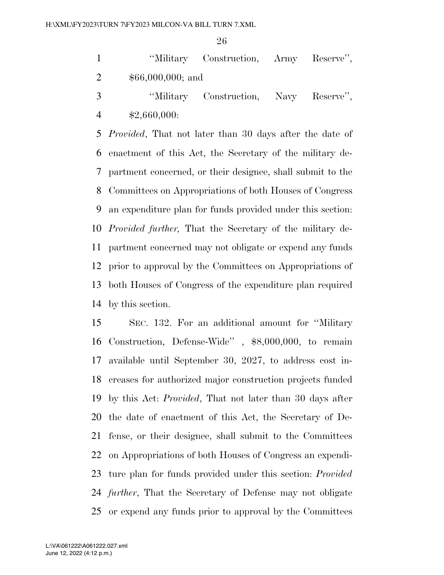|    |                    | "Military Construction, Army Reserve", |  |  |  |
|----|--------------------|----------------------------------------|--|--|--|
| 2  | $$66,000,000;$ and |                                        |  |  |  |
| -3 |                    | "Military Construction, Navy Reserve", |  |  |  |

\$2,660,000:

 *Provided*, That not later than 30 days after the date of enactment of this Act, the Secretary of the military de- partment concerned, or their designee, shall submit to the Committees on Appropriations of both Houses of Congress an expenditure plan for funds provided under this section: *Provided further,* That the Secretary of the military de- partment concerned may not obligate or expend any funds prior to approval by the Committees on Appropriations of both Houses of Congress of the expenditure plan required by this section.

 SEC. 132. For an additional amount for ''Military Construction, Defense-Wide'' , \$8,000,000, to remain available until September 30, 2027, to address cost in- creases for authorized major construction projects funded by this Act: *Provided*, That not later than 30 days after the date of enactment of this Act, the Secretary of De- fense, or their designee, shall submit to the Committees on Appropriations of both Houses of Congress an expendi- ture plan for funds provided under this section: *Provided further*, That the Secretary of Defense may not obligate or expend any funds prior to approval by the Committees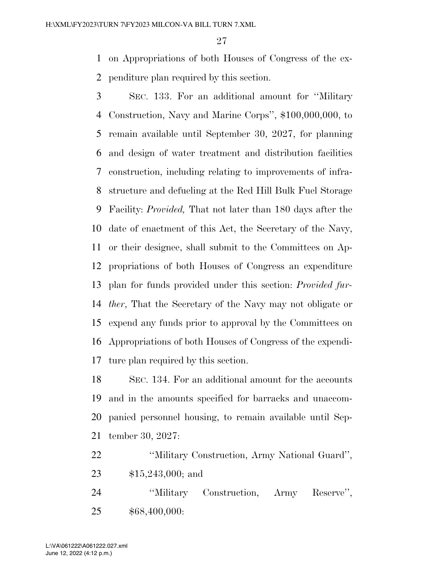on Appropriations of both Houses of Congress of the ex-penditure plan required by this section.

 SEC. 133. For an additional amount for ''Military Construction, Navy and Marine Corps'', \$100,000,000, to remain available until September 30, 2027, for planning and design of water treatment and distribution facilities construction, including relating to improvements of infra- structure and defueling at the Red Hill Bulk Fuel Storage Facility: *Provided,* That not later than 180 days after the date of enactment of this Act, the Secretary of the Navy, or their designee, shall submit to the Committees on Ap- propriations of both Houses of Congress an expenditure plan for funds provided under this section: *Provided fur- ther*, That the Secretary of the Navy may not obligate or expend any funds prior to approval by the Committees on Appropriations of both Houses of Congress of the expendi-ture plan required by this section.

 SEC. 134. For an additional amount for the accounts and in the amounts specified for barracks and unaccom- panied personnel housing, to remain available until Sep-tember 30, 2027:

 ''Military Construction, Army National Guard'', \$15,243,000; and

 ''Military Construction, Army Reserve'', \$68,400,000: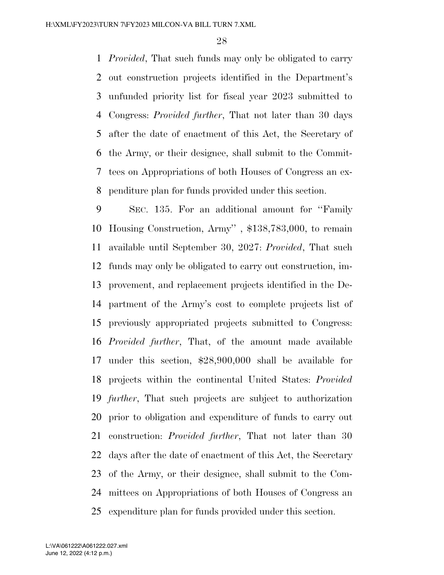*Provided*, That such funds may only be obligated to carry out construction projects identified in the Department's unfunded priority list for fiscal year 2023 submitted to Congress: *Provided further*, That not later than 30 days after the date of enactment of this Act, the Secretary of the Army, or their designee, shall submit to the Commit- tees on Appropriations of both Houses of Congress an ex-penditure plan for funds provided under this section.

 SEC. 135. For an additional amount for ''Family Housing Construction, Army'' , \$138,783,000, to remain available until September 30, 2027: *Provided*, That such funds may only be obligated to carry out construction, im- provement, and replacement projects identified in the De- partment of the Army's cost to complete projects list of previously appropriated projects submitted to Congress: *Provided further*, That, of the amount made available under this section, \$28,900,000 shall be available for projects within the continental United States: *Provided further*, That such projects are subject to authorization prior to obligation and expenditure of funds to carry out construction: *Provided further*, That not later than 30 days after the date of enactment of this Act, the Secretary of the Army, or their designee, shall submit to the Com- mittees on Appropriations of both Houses of Congress an expenditure plan for funds provided under this section.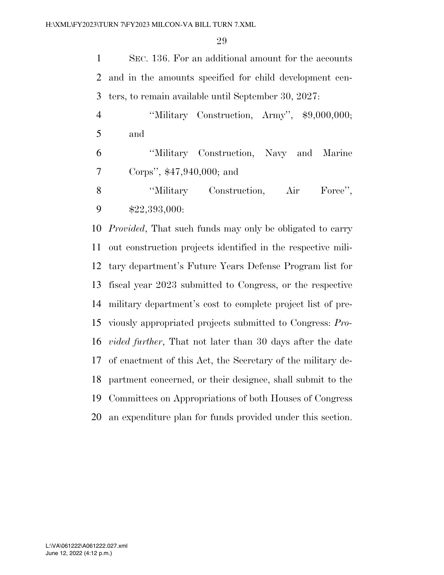SEC. 136. For an additional amount for the accounts and in the amounts specified for child development cen-ters, to remain available until September 30, 2027:

4 "Wilitary Construction, Army", \$9,000,000; and

 ''Military Construction, Navy and Marine Corps'', \$47,940,000; and

8 
<sup>"Military Construction, Air Force",</sup> \$22,393,000:

 *Provided*, That such funds may only be obligated to carry out construction projects identified in the respective mili- tary department's Future Years Defense Program list for fiscal year 2023 submitted to Congress, or the respective military department's cost to complete project list of pre- viously appropriated projects submitted to Congress: *Pro- vided further*, That not later than 30 days after the date of enactment of this Act, the Secretary of the military de- partment concerned, or their designee, shall submit to the Committees on Appropriations of both Houses of Congress an expenditure plan for funds provided under this section.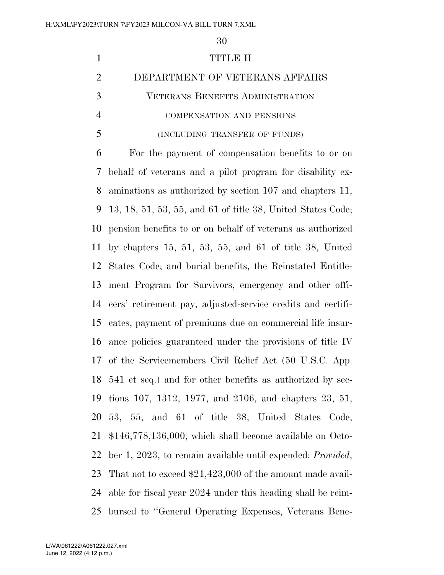# TITLE II DEPARTMENT OF VETERANS AFFAIRS VETERANS BENEFITS ADMINISTRATION COMPENSATION AND PENSIONS (INCLUDING TRANSFER OF FUNDS)

 For the payment of compensation benefits to or on behalf of veterans and a pilot program for disability ex- aminations as authorized by section 107 and chapters 11, 13, 18, 51, 53, 55, and 61 of title 38, United States Code; pension benefits to or on behalf of veterans as authorized by chapters 15, 51, 53, 55, and 61 of title 38, United States Code; and burial benefits, the Reinstated Entitle- ment Program for Survivors, emergency and other offi- cers' retirement pay, adjusted-service credits and certifi- cates, payment of premiums due on commercial life insur- ance policies guaranteed under the provisions of title IV of the Servicemembers Civil Relief Act (50 U.S.C. App. 541 et seq.) and for other benefits as authorized by sec- tions 107, 1312, 1977, and 2106, and chapters 23, 51, 53, 55, and 61 of title 38, United States Code, \$146,778,136,000, which shall become available on Octo- ber 1, 2023, to remain available until expended: *Provided*, That not to exceed \$21,423,000 of the amount made avail- able for fiscal year 2024 under this heading shall be reim-bursed to ''General Operating Expenses, Veterans Bene-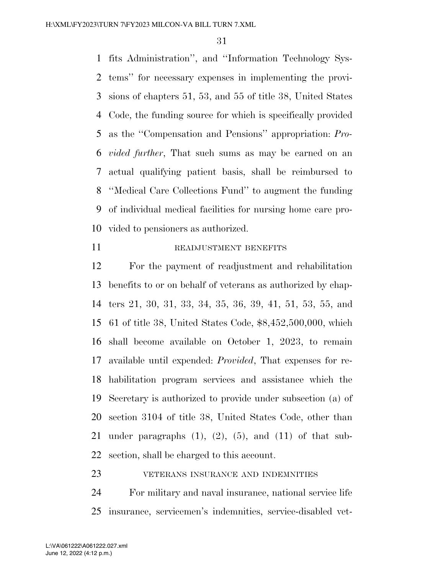fits Administration'', and ''Information Technology Sys- tems'' for necessary expenses in implementing the provi- sions of chapters 51, 53, and 55 of title 38, United States Code, the funding source for which is specifically provided as the ''Compensation and Pensions'' appropriation: *Pro- vided further*, That such sums as may be earned on an actual qualifying patient basis, shall be reimbursed to ''Medical Care Collections Fund'' to augment the funding of individual medical facilities for nursing home care pro-vided to pensioners as authorized.

#### 11 READJUSTMENT BENEFITS

 For the payment of readjustment and rehabilitation benefits to or on behalf of veterans as authorized by chap- ters 21, 30, 31, 33, 34, 35, 36, 39, 41, 51, 53, 55, and 61 of title 38, United States Code, \$8,452,500,000, which shall become available on October 1, 2023, to remain available until expended: *Provided*, That expenses for re- habilitation program services and assistance which the Secretary is authorized to provide under subsection (a) of section 3104 of title 38, United States Code, other than 21 under paragraphs  $(1)$ ,  $(2)$ ,  $(5)$ , and  $(11)$  of that sub-section, shall be charged to this account.

### **VETERANS INSURANCE AND INDEMNITIES**

 For military and naval insurance, national service life insurance, servicemen's indemnities, service-disabled vet-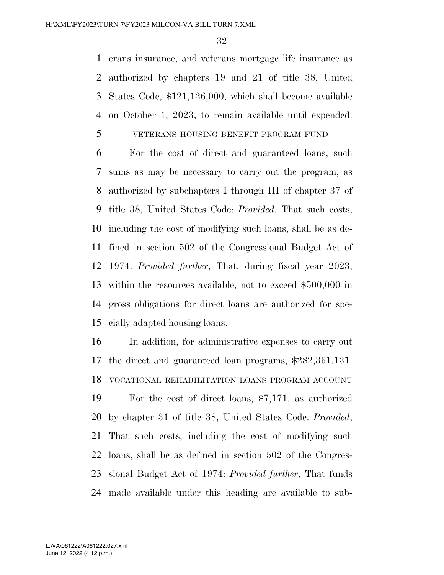erans insurance, and veterans mortgage life insurance as authorized by chapters 19 and 21 of title 38, United States Code, \$121,126,000, which shall become available on October 1, 2023, to remain available until expended.

### VETERANS HOUSING BENEFIT PROGRAM FUND

 For the cost of direct and guaranteed loans, such sums as may be necessary to carry out the program, as authorized by subchapters I through III of chapter 37 of title 38, United States Code: *Provided*, That such costs, including the cost of modifying such loans, shall be as de- fined in section 502 of the Congressional Budget Act of 1974: *Provided further*, That, during fiscal year 2023, within the resources available, not to exceed \$500,000 in gross obligations for direct loans are authorized for spe-cially adapted housing loans.

 In addition, for administrative expenses to carry out the direct and guaranteed loan programs, \$282,361,131. VOCATIONAL REHABILITATION LOANS PROGRAM ACCOUNT

 For the cost of direct loans, \$7,171, as authorized by chapter 31 of title 38, United States Code: *Provided*, That such costs, including the cost of modifying such loans, shall be as defined in section 502 of the Congres- sional Budget Act of 1974: *Provided further*, That funds made available under this heading are available to sub-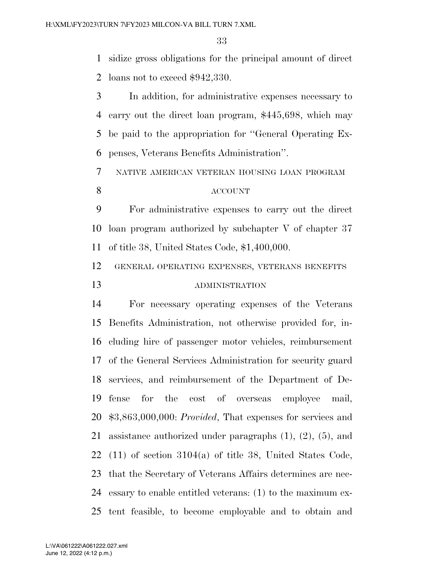sidize gross obligations for the principal amount of direct loans not to exceed \$942,330.

 In addition, for administrative expenses necessary to carry out the direct loan program, \$445,698, which may be paid to the appropriation for ''General Operating Ex-penses, Veterans Benefits Administration''.

NATIVE AMERICAN VETERAN HOUSING LOAN PROGRAM

### ACCOUNT

 For administrative expenses to carry out the direct loan program authorized by subchapter V of chapter 37 of title 38, United States Code, \$1,400,000.

 GENERAL OPERATING EXPENSES, VETERANS BENEFITS ADMINISTRATION

 For necessary operating expenses of the Veterans Benefits Administration, not otherwise provided for, in- cluding hire of passenger motor vehicles, reimbursement of the General Services Administration for security guard services, and reimbursement of the Department of De- fense for the cost of overseas employee mail, \$3,863,000,000: *Provided*, That expenses for services and assistance authorized under paragraphs (1), (2), (5), and (11) of section 3104(a) of title 38, United States Code, that the Secretary of Veterans Affairs determines are nec- essary to enable entitled veterans: (1) to the maximum ex-tent feasible, to become employable and to obtain and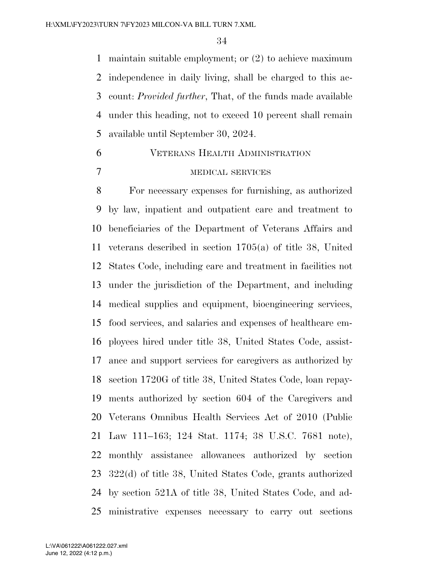maintain suitable employment; or (2) to achieve maximum independence in daily living, shall be charged to this ac- count: *Provided further*, That, of the funds made available under this heading, not to exceed 10 percent shall remain available until September 30, 2024.

# VETERANS HEALTH ADMINISTRATION MEDICAL SERVICES

 For necessary expenses for furnishing, as authorized by law, inpatient and outpatient care and treatment to beneficiaries of the Department of Veterans Affairs and veterans described in section 1705(a) of title 38, United States Code, including care and treatment in facilities not under the jurisdiction of the Department, and including medical supplies and equipment, bioengineering services, food services, and salaries and expenses of healthcare em- ployees hired under title 38, United States Code, assist- ance and support services for caregivers as authorized by section 1720G of title 38, United States Code, loan repay- ments authorized by section 604 of the Caregivers and Veterans Omnibus Health Services Act of 2010 (Public Law 111–163; 124 Stat. 1174; 38 U.S.C. 7681 note), monthly assistance allowances authorized by section 322(d) of title 38, United States Code, grants authorized by section 521A of title 38, United States Code, and ad-ministrative expenses necessary to carry out sections

June 12, 2022 (4:12 p.m.) L:\VA\061222\A061222.027.xml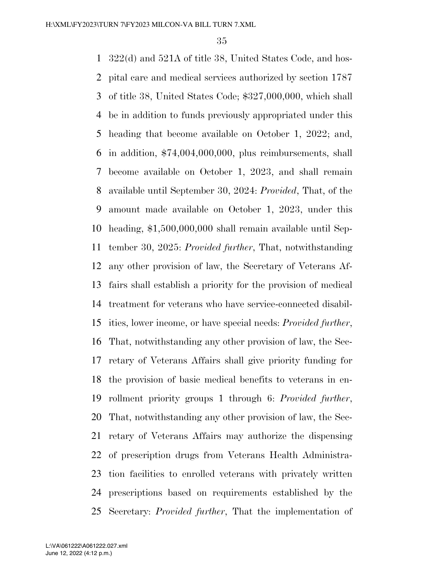322(d) and 521A of title 38, United States Code, and hos- pital care and medical services authorized by section 1787 of title 38, United States Code; \$327,000,000, which shall be in addition to funds previously appropriated under this heading that become available on October 1, 2022; and, in addition, \$74,004,000,000, plus reimbursements, shall become available on October 1, 2023, and shall remain available until September 30, 2024: *Provided*, That, of the amount made available on October 1, 2023, under this heading, \$1,500,000,000 shall remain available until Sep- tember 30, 2025: *Provided further*, That, notwithstanding any other provision of law, the Secretary of Veterans Af- fairs shall establish a priority for the provision of medical treatment for veterans who have service-connected disabil- ities, lower income, or have special needs: *Provided further*, That, notwithstanding any other provision of law, the Sec- retary of Veterans Affairs shall give priority funding for the provision of basic medical benefits to veterans in en- rollment priority groups 1 through 6: *Provided further*, That, notwithstanding any other provision of law, the Sec- retary of Veterans Affairs may authorize the dispensing of prescription drugs from Veterans Health Administra- tion facilities to enrolled veterans with privately written prescriptions based on requirements established by the Secretary: *Provided further*, That the implementation of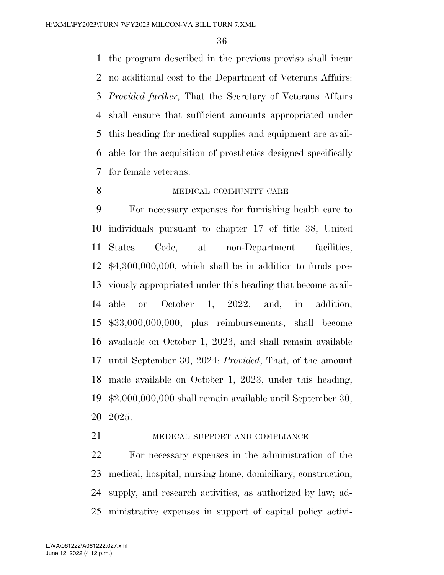the program described in the previous proviso shall incur no additional cost to the Department of Veterans Affairs: *Provided further*, That the Secretary of Veterans Affairs shall ensure that sufficient amounts appropriated under this heading for medical supplies and equipment are avail- able for the acquisition of prosthetics designed specifically for female veterans.

8 MEDICAL COMMUNITY CARE

 For necessary expenses for furnishing health care to individuals pursuant to chapter 17 of title 38, United States Code, at non-Department facilities, \$4,300,000,000, which shall be in addition to funds pre- viously appropriated under this heading that become avail- able on October 1, 2022; and, in addition, \$33,000,000,000, plus reimbursements, shall become available on October 1, 2023, and shall remain available until September 30, 2024: *Provided*, That, of the amount made available on October 1, 2023, under this heading, \$2,000,000,000 shall remain available until September 30, 2025.

## 21 MEDICAL SUPPORT AND COMPLIANCE

 For necessary expenses in the administration of the medical, hospital, nursing home, domiciliary, construction, supply, and research activities, as authorized by law; ad-ministrative expenses in support of capital policy activi-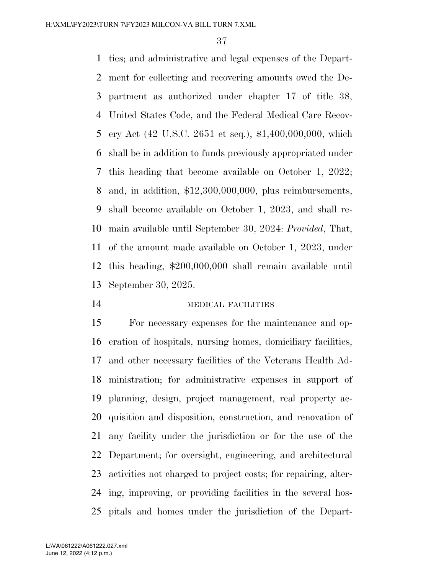ties; and administrative and legal expenses of the Depart- ment for collecting and recovering amounts owed the De- partment as authorized under chapter 17 of title 38, United States Code, and the Federal Medical Care Recov- ery Act (42 U.S.C. 2651 et seq.), \$1,400,000,000, which shall be in addition to funds previously appropriated under this heading that become available on October 1, 2022; and, in addition, \$12,300,000,000, plus reimbursements, shall become available on October 1, 2023, and shall re- main available until September 30, 2024: *Provided*, That, of the amount made available on October 1, 2023, under this heading, \$200,000,000 shall remain available until September 30, 2025.

### MEDICAL FACILITIES

 For necessary expenses for the maintenance and op- eration of hospitals, nursing homes, domiciliary facilities, and other necessary facilities of the Veterans Health Ad- ministration; for administrative expenses in support of planning, design, project management, real property ac- quisition and disposition, construction, and renovation of any facility under the jurisdiction or for the use of the Department; for oversight, engineering, and architectural activities not charged to project costs; for repairing, alter- ing, improving, or providing facilities in the several hos-pitals and homes under the jurisdiction of the Depart-

June 12, 2022 (4:12 p.m.) L:\VA\061222\A061222.027.xml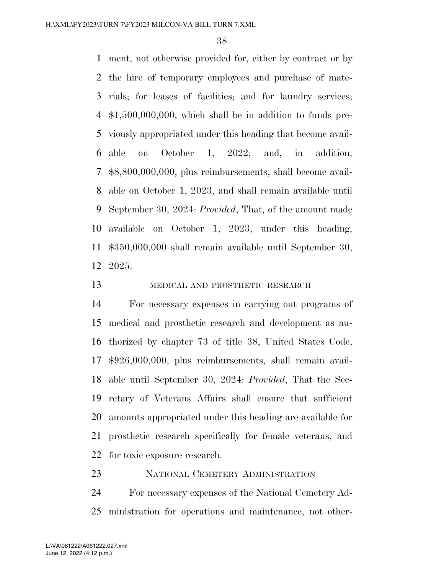ment, not otherwise provided for, either by contract or by the hire of temporary employees and purchase of mate- rials; for leases of facilities; and for laundry services; \$1,500,000,000, which shall be in addition to funds pre- viously appropriated under this heading that become avail- able on October 1, 2022; and, in addition, \$8,800,000,000, plus reimbursements, shall become avail- able on October 1, 2023, and shall remain available until September 30, 2024: *Provided*, That, of the amount made available on October 1, 2023, under this heading, \$350,000,000 shall remain available until September 30, 2025.

13 MEDICAL AND PROSTHETIC RESEARCH

 For necessary expenses in carrying out programs of medical and prosthetic research and development as au- thorized by chapter 73 of title 38, United States Code, \$926,000,000, plus reimbursements, shall remain avail- able until September 30, 2024: *Provided*, That the Sec- retary of Veterans Affairs shall ensure that sufficient amounts appropriated under this heading are available for prosthetic research specifically for female veterans, and for toxic exposure research.

NATIONAL CEMETERY ADMINISTRATION

 For necessary expenses of the National Cemetery Ad-ministration for operations and maintenance, not other-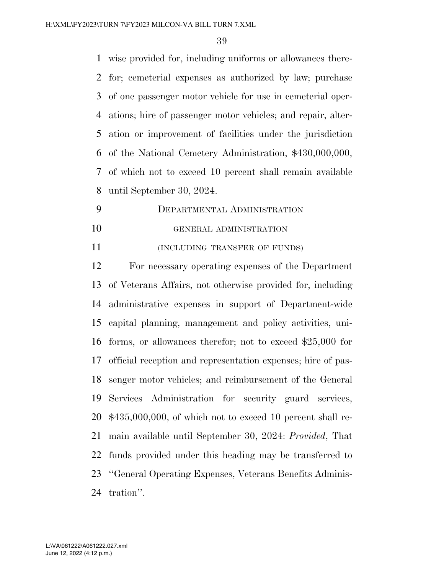wise provided for, including uniforms or allowances there- for; cemeterial expenses as authorized by law; purchase of one passenger motor vehicle for use in cemeterial oper- ations; hire of passenger motor vehicles; and repair, alter- ation or improvement of facilities under the jurisdiction of the National Cemetery Administration, \$430,000,000, of which not to exceed 10 percent shall remain available until September 30, 2024.

 DEPARTMENTAL ADMINISTRATION GENERAL ADMINISTRATION

**INCLUDING TRANSFER OF FUNDS**)

 For necessary operating expenses of the Department of Veterans Affairs, not otherwise provided for, including administrative expenses in support of Department-wide capital planning, management and policy activities, uni- forms, or allowances therefor; not to exceed \$25,000 for official reception and representation expenses; hire of pas- senger motor vehicles; and reimbursement of the General Services Administration for security guard services, \$435,000,000, of which not to exceed 10 percent shall re- main available until September 30, 2024: *Provided*, That funds provided under this heading may be transferred to ''General Operating Expenses, Veterans Benefits Adminis-tration''.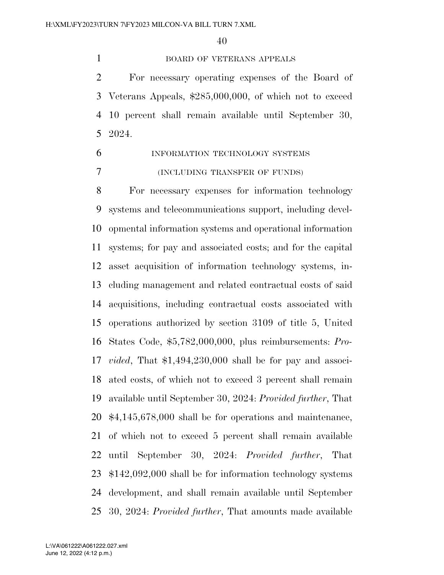### BOARD OF VETERANS APPEALS

 For necessary operating expenses of the Board of Veterans Appeals, \$285,000,000, of which not to exceed 10 percent shall remain available until September 30, 2024.

 INFORMATION TECHNOLOGY SYSTEMS (INCLUDING TRANSFER OF FUNDS)

 For necessary expenses for information technology systems and telecommunications support, including devel- opmental information systems and operational information systems; for pay and associated costs; and for the capital asset acquisition of information technology systems, in- cluding management and related contractual costs of said acquisitions, including contractual costs associated with operations authorized by section 3109 of title 5, United States Code, \$5,782,000,000, plus reimbursements: *Pro- vided*, That \$1,494,230,000 shall be for pay and associ- ated costs, of which not to exceed 3 percent shall remain available until September 30, 2024: *Provided further*, That \$4,145,678,000 shall be for operations and maintenance, of which not to exceed 5 percent shall remain available until September 30, 2024: *Provided further*, That \$142,092,000 shall be for information technology systems development, and shall remain available until September 30, 2024: *Provided further*, That amounts made available

June 12, 2022 (4:12 p.m.) L:\VA\061222\A061222.027.xml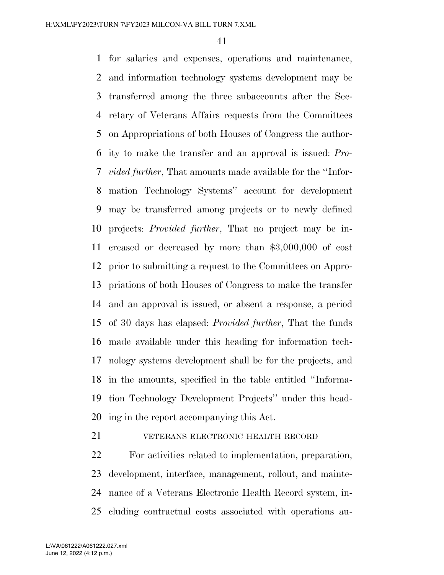for salaries and expenses, operations and maintenance, and information technology systems development may be transferred among the three subaccounts after the Sec- retary of Veterans Affairs requests from the Committees on Appropriations of both Houses of Congress the author- ity to make the transfer and an approval is issued: *Pro- vided further*, That amounts made available for the ''Infor- mation Technology Systems'' account for development may be transferred among projects or to newly defined projects: *Provided further*, That no project may be in- creased or decreased by more than \$3,000,000 of cost prior to submitting a request to the Committees on Appro- priations of both Houses of Congress to make the transfer and an approval is issued, or absent a response, a period of 30 days has elapsed: *Provided further*, That the funds made available under this heading for information tech- nology systems development shall be for the projects, and in the amounts, specified in the table entitled ''Informa- tion Technology Development Projects'' under this head-ing in the report accompanying this Act.

VETERANS ELECTRONIC HEALTH RECORD

 For activities related to implementation, preparation, development, interface, management, rollout, and mainte- nance of a Veterans Electronic Health Record system, in-cluding contractual costs associated with operations au-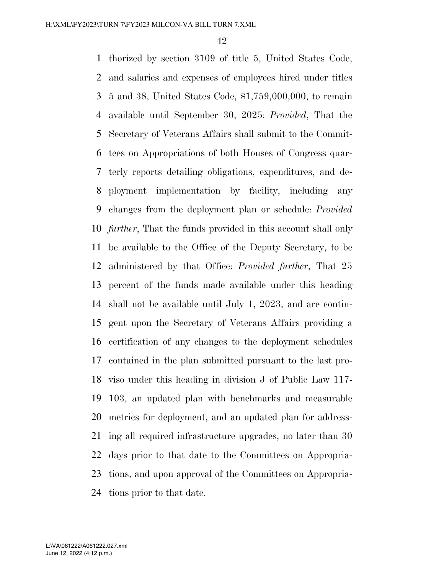thorized by section 3109 of title 5, United States Code, and salaries and expenses of employees hired under titles 5 and 38, United States Code, \$1,759,000,000, to remain available until September 30, 2025: *Provided*, That the Secretary of Veterans Affairs shall submit to the Commit- tees on Appropriations of both Houses of Congress quar- terly reports detailing obligations, expenditures, and de- ployment implementation by facility, including any changes from the deployment plan or schedule: *Provided further*, That the funds provided in this account shall only be available to the Office of the Deputy Secretary, to be administered by that Office: *Provided further*, That 25 percent of the funds made available under this heading shall not be available until July 1, 2023, and are contin- gent upon the Secretary of Veterans Affairs providing a certification of any changes to the deployment schedules contained in the plan submitted pursuant to the last pro- viso under this heading in division J of Public Law 117- 103, an updated plan with benchmarks and measurable metrics for deployment, and an updated plan for address- ing all required infrastructure upgrades, no later than 30 days prior to that date to the Committees on Appropria- tions, and upon approval of the Committees on Appropria-tions prior to that date.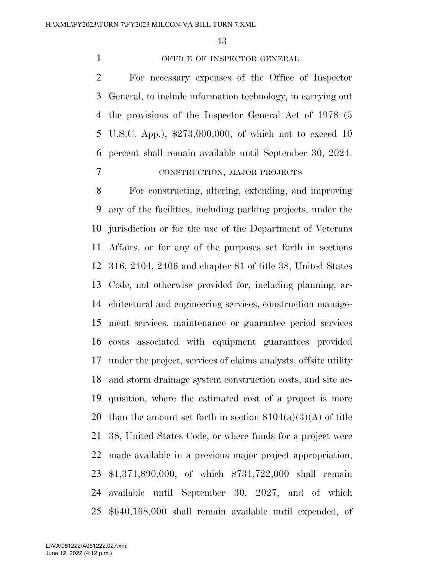### 1 OFFICE OF INSPECTOR GENERAL

 For necessary expenses of the Office of Inspector General, to include information technology, in carrying out the provisions of the Inspector General Act of 1978 (5 U.S.C. App.), \$273,000,000, of which not to exceed 10 percent shall remain available until September 30, 2024. CONSTRUCTION, MAJOR PROJECTS

 For constructing, altering, extending, and improving any of the facilities, including parking projects, under the jurisdiction or for the use of the Department of Veterans Affairs, or for any of the purposes set forth in sections 316, 2404, 2406 and chapter 81 of title 38, United States Code, not otherwise provided for, including planning, ar- chitectural and engineering services, construction manage- ment services, maintenance or guarantee period services costs associated with equipment guarantees provided under the project, services of claims analysts, offsite utility and storm drainage system construction costs, and site ac- quisition, where the estimated cost of a project is more 20 than the amount set forth in section  $8104(a)(3)(A)$  of title 38, United States Code, or where funds for a project were made available in a previous major project appropriation, \$1,371,890,000, of which \$731,722,000 shall remain available until September 30, 2027, and of which \$640,168,000 shall remain available until expended, of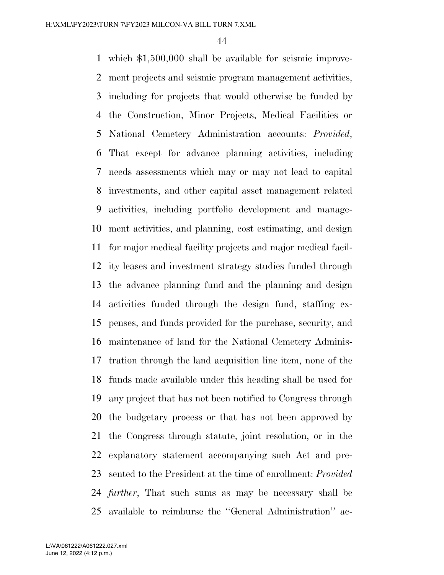which \$1,500,000 shall be available for seismic improve- ment projects and seismic program management activities, including for projects that would otherwise be funded by the Construction, Minor Projects, Medical Facilities or National Cemetery Administration accounts: *Provided*, That except for advance planning activities, including needs assessments which may or may not lead to capital investments, and other capital asset management related activities, including portfolio development and manage- ment activities, and planning, cost estimating, and design for major medical facility projects and major medical facil- ity leases and investment strategy studies funded through the advance planning fund and the planning and design activities funded through the design fund, staffing ex- penses, and funds provided for the purchase, security, and maintenance of land for the National Cemetery Adminis- tration through the land acquisition line item, none of the funds made available under this heading shall be used for any project that has not been notified to Congress through the budgetary process or that has not been approved by the Congress through statute, joint resolution, or in the explanatory statement accompanying such Act and pre- sented to the President at the time of enrollment: *Provided further*, That such sums as may be necessary shall be available to reimburse the ''General Administration'' ac-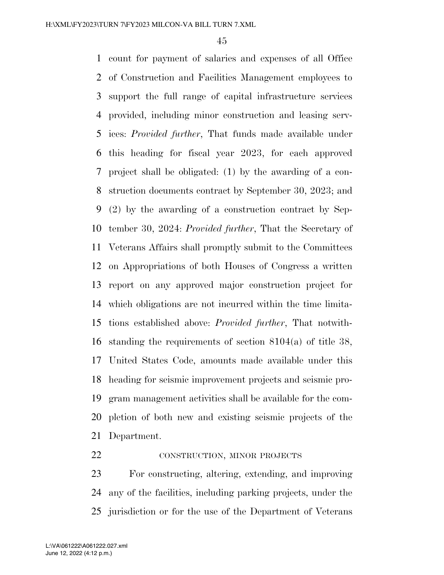count for payment of salaries and expenses of all Office of Construction and Facilities Management employees to support the full range of capital infrastructure services provided, including minor construction and leasing serv- ices: *Provided further*, That funds made available under this heading for fiscal year 2023, for each approved project shall be obligated: (1) by the awarding of a con- struction documents contract by September 30, 2023; and (2) by the awarding of a construction contract by Sep- tember 30, 2024: *Provided further*, That the Secretary of Veterans Affairs shall promptly submit to the Committees on Appropriations of both Houses of Congress a written report on any approved major construction project for which obligations are not incurred within the time limita- tions established above: *Provided further*, That notwith- standing the requirements of section 8104(a) of title 38, United States Code, amounts made available under this heading for seismic improvement projects and seismic pro- gram management activities shall be available for the com- pletion of both new and existing seismic projects of the Department.

22 CONSTRUCTION, MINOR PROJECTS

 For constructing, altering, extending, and improving any of the facilities, including parking projects, under the jurisdiction or for the use of the Department of Veterans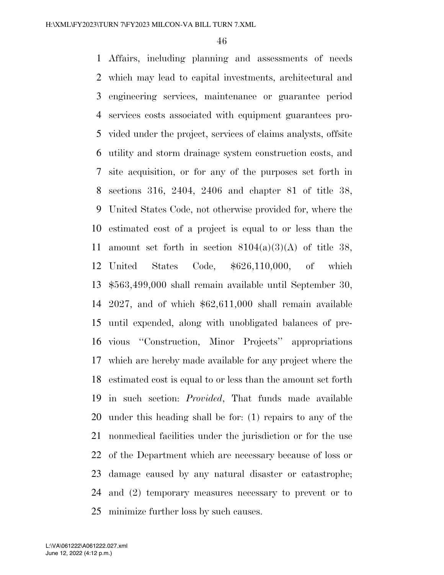Affairs, including planning and assessments of needs which may lead to capital investments, architectural and engineering services, maintenance or guarantee period services costs associated with equipment guarantees pro- vided under the project, services of claims analysts, offsite utility and storm drainage system construction costs, and site acquisition, or for any of the purposes set forth in sections 316, 2404, 2406 and chapter 81 of title 38, United States Code, not otherwise provided for, where the estimated cost of a project is equal to or less than the 11 amount set forth in section  $8104(a)(3)(A)$  of title 38, United States Code, \$626,110,000, of which \$563,499,000 shall remain available until September 30, 2027, and of which \$62,611,000 shall remain available until expended, along with unobligated balances of pre- vious ''Construction, Minor Projects'' appropriations which are hereby made available for any project where the estimated cost is equal to or less than the amount set forth in such section: *Provided*, That funds made available under this heading shall be for: (1) repairs to any of the nonmedical facilities under the jurisdiction or for the use of the Department which are necessary because of loss or damage caused by any natural disaster or catastrophe; and (2) temporary measures necessary to prevent or to minimize further loss by such causes.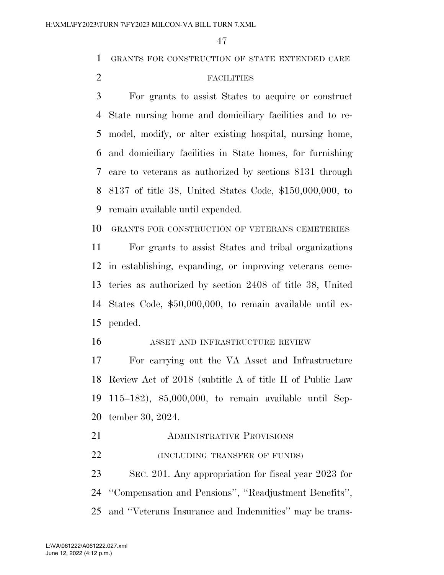GRANTS FOR CONSTRUCTION OF STATE EXTENDED CARE

# FACILITIES

 For grants to assist States to acquire or construct State nursing home and domiciliary facilities and to re- model, modify, or alter existing hospital, nursing home, and domiciliary facilities in State homes, for furnishing care to veterans as authorized by sections 8131 through 8137 of title 38, United States Code, \$150,000,000, to remain available until expended.

GRANTS FOR CONSTRUCTION OF VETERANS CEMETERIES

 For grants to assist States and tribal organizations in establishing, expanding, or improving veterans ceme- teries as authorized by section 2408 of title 38, United States Code, \$50,000,000, to remain available until ex-pended.

#### ASSET AND INFRASTRUCTURE REVIEW

 For carrying out the VA Asset and Infrastructure Review Act of 2018 (subtitle A of title II of Public Law 115–182), \$5,000,000, to remain available until Sep-tember 30, 2024.

**ADMINISTRATIVE PROVISIONS (INCLUDING TRANSFER OF FUNDS)** 

 SEC. 201. Any appropriation for fiscal year 2023 for ''Compensation and Pensions'', ''Readjustment Benefits'', and ''Veterans Insurance and Indemnities'' may be trans-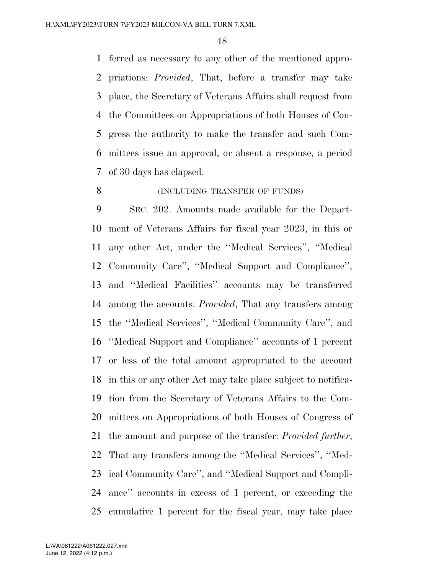ferred as necessary to any other of the mentioned appro- priations: *Provided*, That, before a transfer may take place, the Secretary of Veterans Affairs shall request from the Committees on Appropriations of both Houses of Con- gress the authority to make the transfer and such Com- mittees issue an approval, or absent a response, a period of 30 days has elapsed.

# 8 (INCLUDING TRANSFER OF FUNDS)

 SEC. 202. Amounts made available for the Depart- ment of Veterans Affairs for fiscal year 2023, in this or any other Act, under the ''Medical Services'', ''Medical Community Care'', ''Medical Support and Compliance'', and ''Medical Facilities'' accounts may be transferred among the accounts: *Provided*, That any transfers among the ''Medical Services'', ''Medical Community Care'', and ''Medical Support and Compliance'' accounts of 1 percent or less of the total amount appropriated to the account in this or any other Act may take place subject to notifica- tion from the Secretary of Veterans Affairs to the Com- mittees on Appropriations of both Houses of Congress of the amount and purpose of the transfer: *Provided further*, That any transfers among the ''Medical Services'', ''Med- ical Community Care'', and ''Medical Support and Compli- ance'' accounts in excess of 1 percent, or exceeding the cumulative 1 percent for the fiscal year, may take place

June 12, 2022 (4:12 p.m.) L:\VA\061222\A061222.027.xml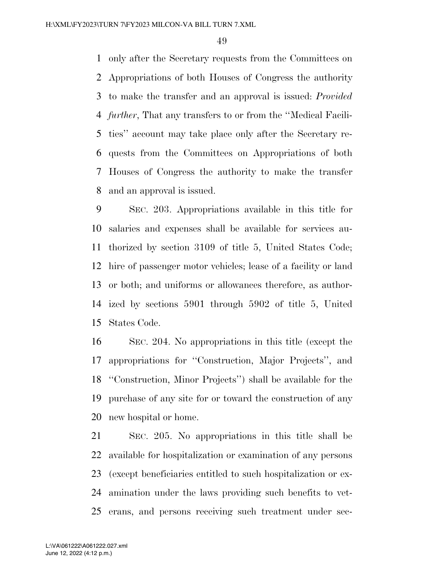only after the Secretary requests from the Committees on Appropriations of both Houses of Congress the authority to make the transfer and an approval is issued: *Provided further*, That any transfers to or from the ''Medical Facili- ties'' account may take place only after the Secretary re- quests from the Committees on Appropriations of both Houses of Congress the authority to make the transfer and an approval is issued.

 SEC. 203. Appropriations available in this title for salaries and expenses shall be available for services au- thorized by section 3109 of title 5, United States Code; hire of passenger motor vehicles; lease of a facility or land or both; and uniforms or allowances therefore, as author- ized by sections 5901 through 5902 of title 5, United States Code.

 SEC. 204. No appropriations in this title (except the appropriations for ''Construction, Major Projects'', and ''Construction, Minor Projects'') shall be available for the purchase of any site for or toward the construction of any new hospital or home.

 SEC. 205. No appropriations in this title shall be available for hospitalization or examination of any persons (except beneficiaries entitled to such hospitalization or ex- amination under the laws providing such benefits to vet-erans, and persons receiving such treatment under sec-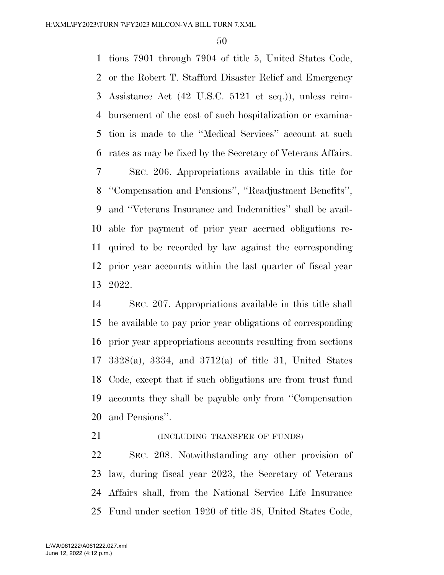tions 7901 through 7904 of title 5, United States Code, or the Robert T. Stafford Disaster Relief and Emergency Assistance Act (42 U.S.C. 5121 et seq.)), unless reim- bursement of the cost of such hospitalization or examina- tion is made to the ''Medical Services'' account at such rates as may be fixed by the Secretary of Veterans Affairs.

 SEC. 206. Appropriations available in this title for ''Compensation and Pensions'', ''Readjustment Benefits'', and ''Veterans Insurance and Indemnities'' shall be avail- able for payment of prior year accrued obligations re- quired to be recorded by law against the corresponding prior year accounts within the last quarter of fiscal year 2022.

 SEC. 207. Appropriations available in this title shall be available to pay prior year obligations of corresponding prior year appropriations accounts resulting from sections 3328(a), 3334, and 3712(a) of title 31, United States Code, except that if such obligations are from trust fund accounts they shall be payable only from ''Compensation and Pensions''.

**(INCLUDING TRANSFER OF FUNDS)** 

 SEC. 208. Notwithstanding any other provision of law, during fiscal year 2023, the Secretary of Veterans Affairs shall, from the National Service Life Insurance Fund under section 1920 of title 38, United States Code,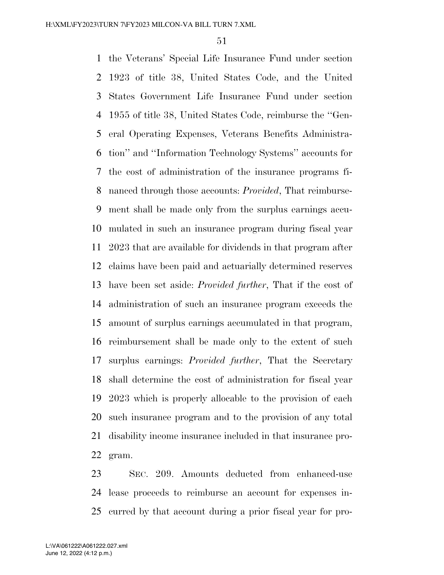the Veterans' Special Life Insurance Fund under section 1923 of title 38, United States Code, and the United States Government Life Insurance Fund under section 1955 of title 38, United States Code, reimburse the ''Gen- eral Operating Expenses, Veterans Benefits Administra- tion'' and ''Information Technology Systems'' accounts for the cost of administration of the insurance programs fi- nanced through those accounts: *Provided*, That reimburse- ment shall be made only from the surplus earnings accu- mulated in such an insurance program during fiscal year 2023 that are available for dividends in that program after claims have been paid and actuarially determined reserves have been set aside: *Provided further*, That if the cost of administration of such an insurance program exceeds the amount of surplus earnings accumulated in that program, reimbursement shall be made only to the extent of such surplus earnings: *Provided further*, That the Secretary shall determine the cost of administration for fiscal year 2023 which is properly allocable to the provision of each such insurance program and to the provision of any total disability income insurance included in that insurance pro-gram.

 SEC. 209. Amounts deducted from enhanced-use lease proceeds to reimburse an account for expenses in-curred by that account during a prior fiscal year for pro-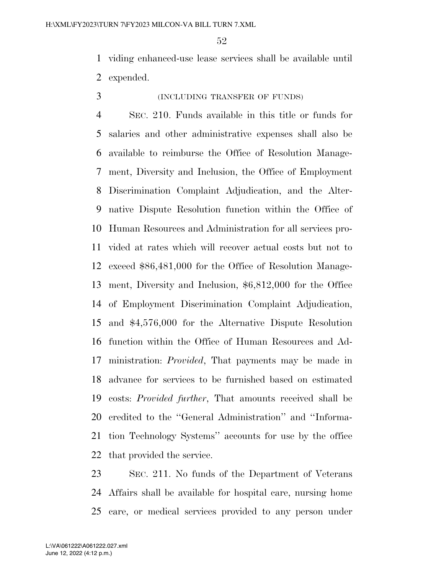viding enhanced-use lease services shall be available until expended.

# (INCLUDING TRANSFER OF FUNDS)

 SEC. 210. Funds available in this title or funds for salaries and other administrative expenses shall also be available to reimburse the Office of Resolution Manage- ment, Diversity and Inclusion, the Office of Employment Discrimination Complaint Adjudication, and the Alter- native Dispute Resolution function within the Office of Human Resources and Administration for all services pro- vided at rates which will recover actual costs but not to exceed \$86,481,000 for the Office of Resolution Manage- ment, Diversity and Inclusion, \$6,812,000 for the Office of Employment Discrimination Complaint Adjudication, and \$4,576,000 for the Alternative Dispute Resolution function within the Office of Human Resources and Ad- ministration: *Provided*, That payments may be made in advance for services to be furnished based on estimated costs: *Provided further*, That amounts received shall be credited to the ''General Administration'' and ''Informa- tion Technology Systems'' accounts for use by the office that provided the service.

 SEC. 211. No funds of the Department of Veterans Affairs shall be available for hospital care, nursing home care, or medical services provided to any person under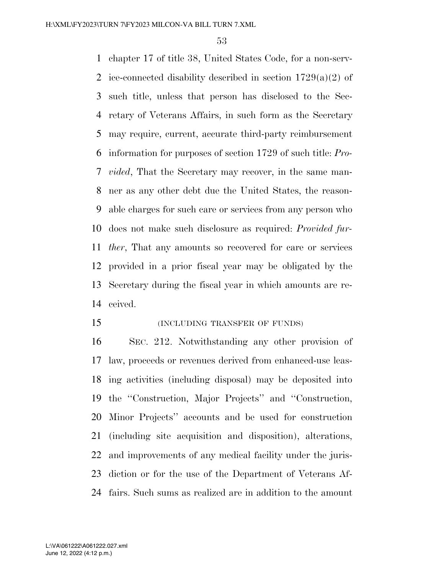chapter 17 of title 38, United States Code, for a non-serv-2 ice-connected disability described in section  $1729(a)(2)$  of such title, unless that person has disclosed to the Sec- retary of Veterans Affairs, in such form as the Secretary may require, current, accurate third-party reimbursement information for purposes of section 1729 of such title: *Pro- vided*, That the Secretary may recover, in the same man- ner as any other debt due the United States, the reason- able charges for such care or services from any person who does not make such disclosure as required: *Provided fur- ther*, That any amounts so recovered for care or services provided in a prior fiscal year may be obligated by the Secretary during the fiscal year in which amounts are re-ceived.

(INCLUDING TRANSFER OF FUNDS)

 SEC. 212. Notwithstanding any other provision of law, proceeds or revenues derived from enhanced-use leas- ing activities (including disposal) may be deposited into the ''Construction, Major Projects'' and ''Construction, Minor Projects'' accounts and be used for construction (including site acquisition and disposition), alterations, and improvements of any medical facility under the juris- diction or for the use of the Department of Veterans Af-fairs. Such sums as realized are in addition to the amount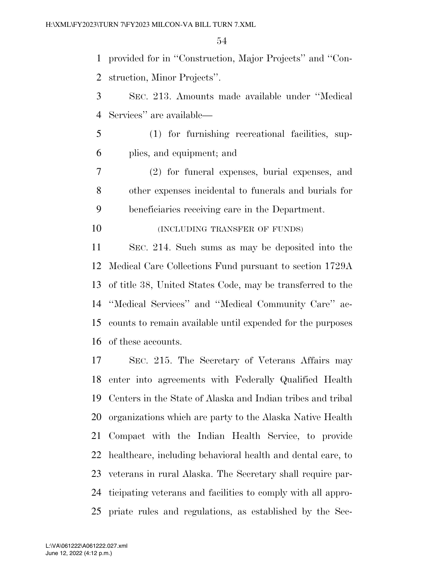provided for in ''Construction, Major Projects'' and ''Con-struction, Minor Projects''.

 SEC. 213. Amounts made available under ''Medical Services'' are available—

 (1) for furnishing recreational facilities, sup-plies, and equipment; and

 (2) for funeral expenses, burial expenses, and other expenses incidental to funerals and burials for beneficiaries receiving care in the Department.

**(INCLUDING TRANSFER OF FUNDS)** 

 SEC. 214. Such sums as may be deposited into the Medical Care Collections Fund pursuant to section 1729A of title 38, United States Code, may be transferred to the ''Medical Services'' and ''Medical Community Care'' ac- counts to remain available until expended for the purposes of these accounts.

 SEC. 215. The Secretary of Veterans Affairs may enter into agreements with Federally Qualified Health Centers in the State of Alaska and Indian tribes and tribal organizations which are party to the Alaska Native Health Compact with the Indian Health Service, to provide 22 healthcare, including behavioral health and dental care, to veterans in rural Alaska. The Secretary shall require par- ticipating veterans and facilities to comply with all appro-priate rules and regulations, as established by the Sec-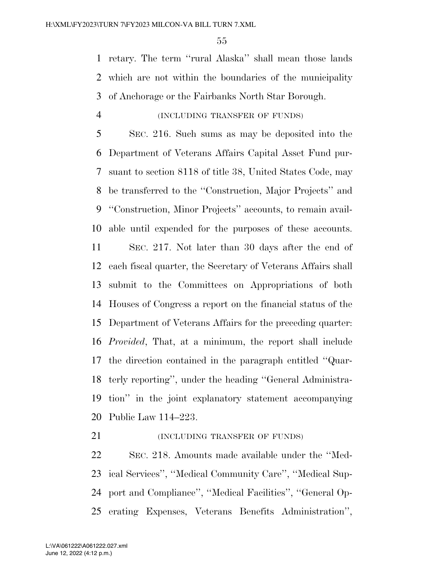retary. The term ''rural Alaska'' shall mean those lands which are not within the boundaries of the municipality of Anchorage or the Fairbanks North Star Borough.

# (INCLUDING TRANSFER OF FUNDS)

 SEC. 216. Such sums as may be deposited into the Department of Veterans Affairs Capital Asset Fund pur- suant to section 8118 of title 38, United States Code, may be transferred to the ''Construction, Major Projects'' and ''Construction, Minor Projects'' accounts, to remain avail-able until expended for the purposes of these accounts.

 SEC. 217. Not later than 30 days after the end of each fiscal quarter, the Secretary of Veterans Affairs shall submit to the Committees on Appropriations of both Houses of Congress a report on the financial status of the Department of Veterans Affairs for the preceding quarter: *Provided*, That, at a minimum, the report shall include the direction contained in the paragraph entitled ''Quar- terly reporting'', under the heading ''General Administra- tion'' in the joint explanatory statement accompanying Public Law 114–223.

**(INCLUDING TRANSFER OF FUNDS)** 

 SEC. 218. Amounts made available under the ''Med- ical Services'', ''Medical Community Care'', ''Medical Sup- port and Compliance'', ''Medical Facilities'', ''General Op-erating Expenses, Veterans Benefits Administration'',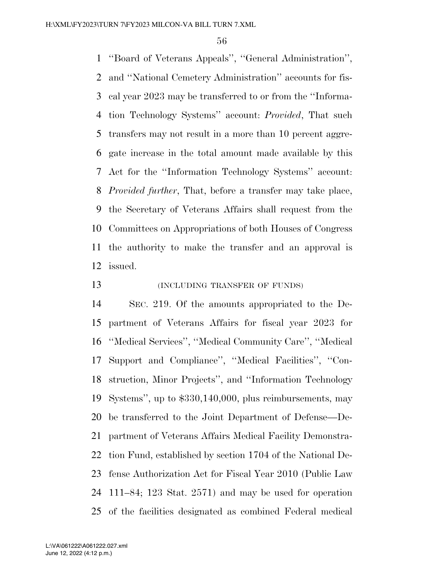''Board of Veterans Appeals'', ''General Administration'', and ''National Cemetery Administration'' accounts for fis- cal year 2023 may be transferred to or from the ''Informa- tion Technology Systems'' account: *Provided*, That such transfers may not result in a more than 10 percent aggre- gate increase in the total amount made available by this Act for the ''Information Technology Systems'' account: *Provided further*, That, before a transfer may take place, the Secretary of Veterans Affairs shall request from the Committees on Appropriations of both Houses of Congress the authority to make the transfer and an approval is issued.

**(INCLUDING TRANSFER OF FUNDS)** 

 SEC. 219. Of the amounts appropriated to the De- partment of Veterans Affairs for fiscal year 2023 for ''Medical Services'', ''Medical Community Care'', ''Medical Support and Compliance'', ''Medical Facilities'', ''Con- struction, Minor Projects'', and ''Information Technology Systems'', up to \$330,140,000, plus reimbursements, may be transferred to the Joint Department of Defense—De- partment of Veterans Affairs Medical Facility Demonstra- tion Fund, established by section 1704 of the National De- fense Authorization Act for Fiscal Year 2010 (Public Law 111–84; 123 Stat. 2571) and may be used for operation of the facilities designated as combined Federal medical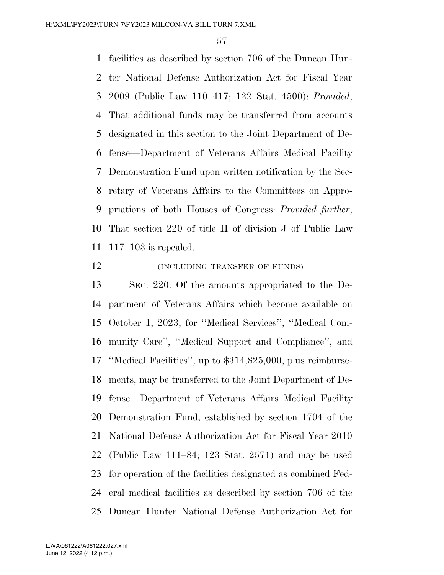facilities as described by section 706 of the Duncan Hun- ter National Defense Authorization Act for Fiscal Year 2009 (Public Law 110–417; 122 Stat. 4500): *Provided*, That additional funds may be transferred from accounts designated in this section to the Joint Department of De- fense—Department of Veterans Affairs Medical Facility Demonstration Fund upon written notification by the Sec- retary of Veterans Affairs to the Committees on Appro- priations of both Houses of Congress: *Provided further*, That section 220 of title II of division J of Public Law 117–103 is repealed.

#### **INCLUDING TRANSFER OF FUNDS**

 SEC. 220. Of the amounts appropriated to the De- partment of Veterans Affairs which become available on October 1, 2023, for ''Medical Services'', ''Medical Com- munity Care'', ''Medical Support and Compliance'', and ''Medical Facilities'', up to \$314,825,000, plus reimburse- ments, may be transferred to the Joint Department of De- fense—Department of Veterans Affairs Medical Facility Demonstration Fund, established by section 1704 of the National Defense Authorization Act for Fiscal Year 2010 (Public Law 111–84; 123 Stat. 2571) and may be used for operation of the facilities designated as combined Fed- eral medical facilities as described by section 706 of the Duncan Hunter National Defense Authorization Act for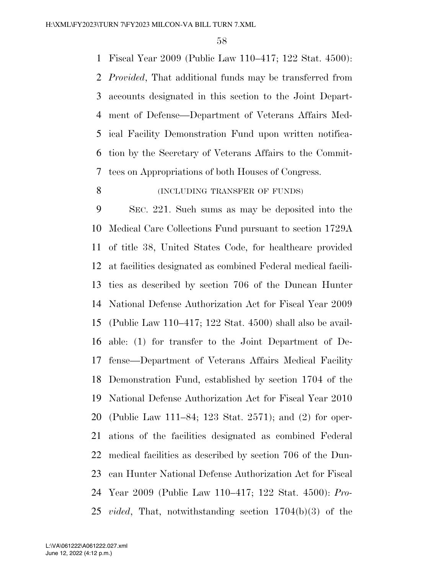Fiscal Year 2009 (Public Law 110–417; 122 Stat. 4500): *Provided*, That additional funds may be transferred from accounts designated in this section to the Joint Depart- ment of Defense—Department of Veterans Affairs Med- ical Facility Demonstration Fund upon written notifica- tion by the Secretary of Veterans Affairs to the Commit-tees on Appropriations of both Houses of Congress.

# 8 (INCLUDING TRANSFER OF FUNDS)

 SEC. 221. Such sums as may be deposited into the Medical Care Collections Fund pursuant to section 1729A of title 38, United States Code, for healthcare provided at facilities designated as combined Federal medical facili- ties as described by section 706 of the Duncan Hunter National Defense Authorization Act for Fiscal Year 2009 (Public Law 110–417; 122 Stat. 4500) shall also be avail- able: (1) for transfer to the Joint Department of De- fense—Department of Veterans Affairs Medical Facility Demonstration Fund, established by section 1704 of the National Defense Authorization Act for Fiscal Year 2010 (Public Law 111–84; 123 Stat. 2571); and (2) for oper- ations of the facilities designated as combined Federal medical facilities as described by section 706 of the Dun- can Hunter National Defense Authorization Act for Fiscal Year 2009 (Public Law 110–417; 122 Stat. 4500): *Pro-vided*, That, notwithstanding section 1704(b)(3) of the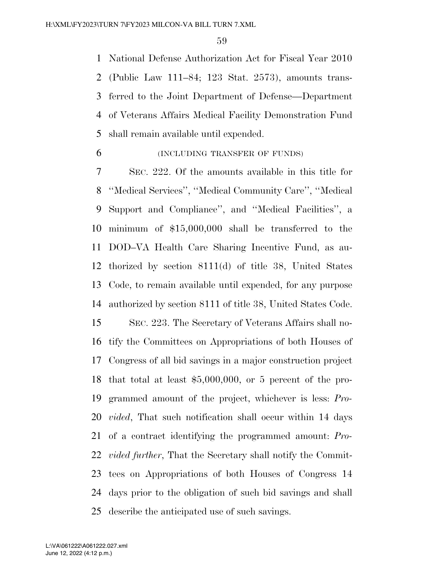National Defense Authorization Act for Fiscal Year 2010 (Public Law 111–84; 123 Stat. 2573), amounts trans- ferred to the Joint Department of Defense—Department of Veterans Affairs Medical Facility Demonstration Fund shall remain available until expended.

(INCLUDING TRANSFER OF FUNDS)

 SEC. 222. Of the amounts available in this title for ''Medical Services'', ''Medical Community Care'', ''Medical Support and Compliance'', and ''Medical Facilities'', a minimum of \$15,000,000 shall be transferred to the DOD–VA Health Care Sharing Incentive Fund, as au- thorized by section 8111(d) of title 38, United States Code, to remain available until expended, for any purpose authorized by section 8111 of title 38, United States Code.

 SEC. 223. The Secretary of Veterans Affairs shall no- tify the Committees on Appropriations of both Houses of Congress of all bid savings in a major construction project that total at least \$5,000,000, or 5 percent of the pro- grammed amount of the project, whichever is less: *Pro- vided*, That such notification shall occur within 14 days of a contract identifying the programmed amount: *Pro- vided further*, That the Secretary shall notify the Commit- tees on Appropriations of both Houses of Congress 14 days prior to the obligation of such bid savings and shall describe the anticipated use of such savings.

June 12, 2022 (4:12 p.m.) L:\VA\061222\A061222.027.xml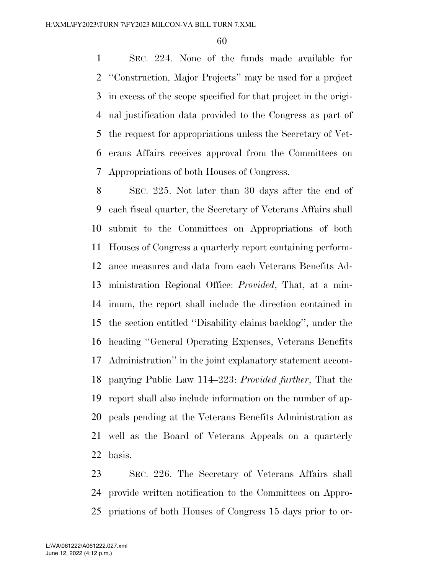SEC. 224. None of the funds made available for ''Construction, Major Projects'' may be used for a project in excess of the scope specified for that project in the origi- nal justification data provided to the Congress as part of the request for appropriations unless the Secretary of Vet- erans Affairs receives approval from the Committees on Appropriations of both Houses of Congress.

 SEC. 225. Not later than 30 days after the end of each fiscal quarter, the Secretary of Veterans Affairs shall submit to the Committees on Appropriations of both Houses of Congress a quarterly report containing perform- ance measures and data from each Veterans Benefits Ad- ministration Regional Office: *Provided*, That, at a min- imum, the report shall include the direction contained in the section entitled ''Disability claims backlog'', under the heading ''General Operating Expenses, Veterans Benefits Administration'' in the joint explanatory statement accom- panying Public Law 114–223: *Provided further*, That the report shall also include information on the number of ap- peals pending at the Veterans Benefits Administration as well as the Board of Veterans Appeals on a quarterly basis.

 SEC. 226. The Secretary of Veterans Affairs shall provide written notification to the Committees on Appro-priations of both Houses of Congress 15 days prior to or-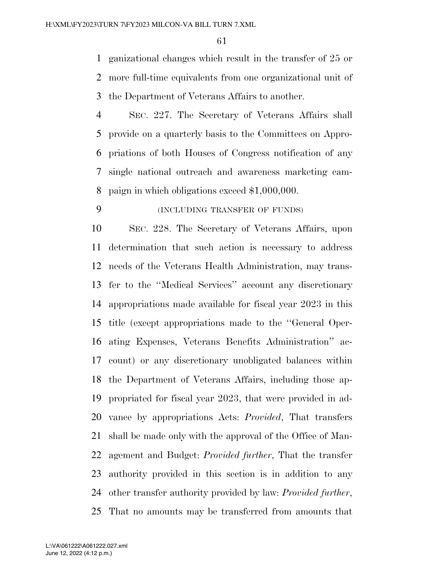ganizational changes which result in the transfer of 25 or more full-time equivalents from one organizational unit of the Department of Veterans Affairs to another.

 SEC. 227. The Secretary of Veterans Affairs shall provide on a quarterly basis to the Committees on Appro- priations of both Houses of Congress notification of any single national outreach and awareness marketing cam-paign in which obligations exceed \$1,000,000.

# (INCLUDING TRANSFER OF FUNDS)

 SEC. 228. The Secretary of Veterans Affairs, upon determination that such action is necessary to address needs of the Veterans Health Administration, may trans- fer to the ''Medical Services'' account any discretionary appropriations made available for fiscal year 2023 in this title (except appropriations made to the ''General Oper- ating Expenses, Veterans Benefits Administration'' ac- count) or any discretionary unobligated balances within the Department of Veterans Affairs, including those ap- propriated for fiscal year 2023, that were provided in ad- vance by appropriations Acts: *Provided*, That transfers shall be made only with the approval of the Office of Man- agement and Budget: *Provided further*, That the transfer authority provided in this section is in addition to any other transfer authority provided by law: *Provided further*, That no amounts may be transferred from amounts that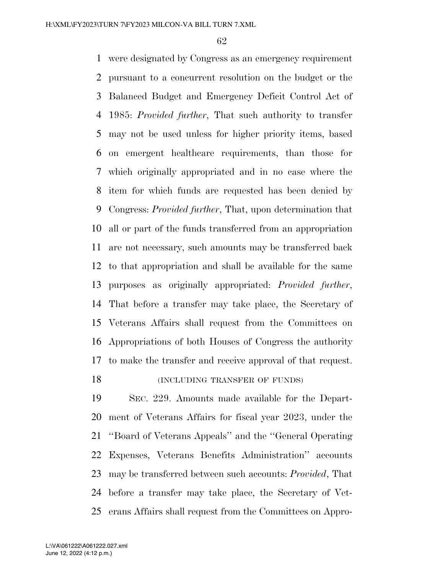were designated by Congress as an emergency requirement pursuant to a concurrent resolution on the budget or the Balanced Budget and Emergency Deficit Control Act of 1985: *Provided further*, That such authority to transfer may not be used unless for higher priority items, based on emergent healthcare requirements, than those for which originally appropriated and in no case where the item for which funds are requested has been denied by Congress: *Provided further*, That, upon determination that all or part of the funds transferred from an appropriation are not necessary, such amounts may be transferred back to that appropriation and shall be available for the same purposes as originally appropriated: *Provided further*, That before a transfer may take place, the Secretary of Veterans Affairs shall request from the Committees on Appropriations of both Houses of Congress the authority to make the transfer and receive approval of that request. 18 (INCLUDING TRANSFER OF FUNDS)

 SEC. 229. Amounts made available for the Depart- ment of Veterans Affairs for fiscal year 2023, under the ''Board of Veterans Appeals'' and the ''General Operating Expenses, Veterans Benefits Administration'' accounts may be transferred between such accounts: *Provided*, That before a transfer may take place, the Secretary of Vet-erans Affairs shall request from the Committees on Appro-

June 12, 2022 (4:12 p.m.) L:\VA\061222\A061222.027.xml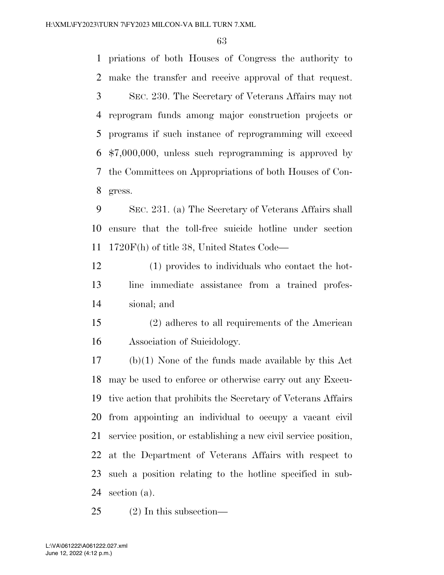priations of both Houses of Congress the authority to make the transfer and receive approval of that request. SEC. 230. The Secretary of Veterans Affairs may not reprogram funds among major construction projects or programs if such instance of reprogramming will exceed \$7,000,000, unless such reprogramming is approved by the Committees on Appropriations of both Houses of Con-gress.

 SEC. 231. (a) The Secretary of Veterans Affairs shall ensure that the toll-free suicide hotline under section 1720F(h) of title 38, United States Code—

 (1) provides to individuals who contact the hot- line immediate assistance from a trained profes-sional; and

 (2) adheres to all requirements of the American Association of Suicidology.

 (b)(1) None of the funds made available by this Act may be used to enforce or otherwise carry out any Execu- tive action that prohibits the Secretary of Veterans Affairs from appointing an individual to occupy a vacant civil service position, or establishing a new civil service position, at the Department of Veterans Affairs with respect to such a position relating to the hotline specified in sub-section (a).

(2) In this subsection—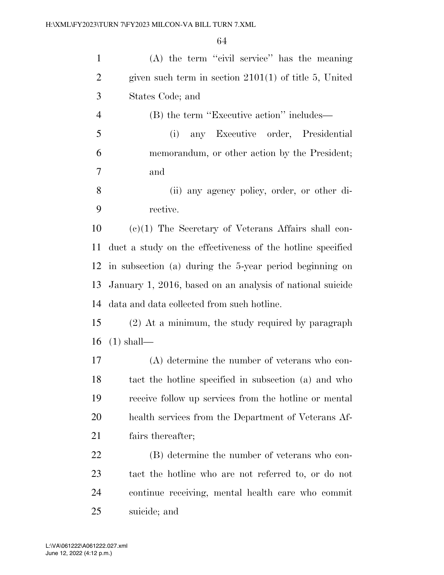| $\mathbf{1}$   | (A) the term "civil service" has the meaning               |
|----------------|------------------------------------------------------------|
| $\overline{2}$ | given such term in section $2101(1)$ of title 5, United    |
| 3              | States Code; and                                           |
| $\overline{4}$ | (B) the term "Executive action" includes—                  |
| 5              | any Executive order, Presidential<br>(i)                   |
| 6              | memorandum, or other action by the President;              |
| 7              | and                                                        |
| 8              | (ii) any agency policy, order, or other di-                |
| 9              | rective.                                                   |
| 10             | $(e)(1)$ The Secretary of Veterans Affairs shall con-      |
| 11             | duct a study on the effectiveness of the hotline specified |
| 12             | in subsection (a) during the 5-year period beginning on    |
| 13             | January 1, 2016, based on an analysis of national suicide  |
| 14             | data and data collected from such hotline.                 |
| 15             | (2) At a minimum, the study required by paragraph          |
| 16             | $(1)$ shall—                                               |
| 17             | $(A)$ determine the number of veterans who con-            |
| 18             | tact the hotline specified in subsection (a) and who       |
| 19             | receive follow up services from the hotline or mental      |
| 20             | health services from the Department of Veterans Af-        |
| 21             | fairs thereafter;                                          |
| 22             | (B) determine the number of veterans who con-              |
| 23             | tact the hotline who are not referred to, or do not        |
| 24             | continue receiving, mental health care who commit          |
| 25             | suicide; and                                               |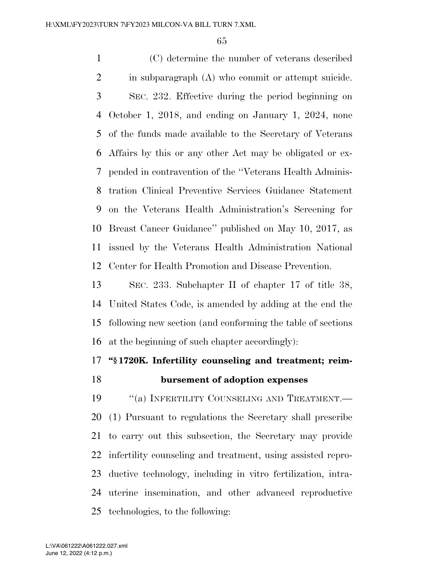(C) determine the number of veterans described in subparagraph (A) who commit or attempt suicide. SEC. 232. Effective during the period beginning on October 1, 2018, and ending on January 1, 2024, none of the funds made available to the Secretary of Veterans Affairs by this or any other Act may be obligated or ex- pended in contravention of the ''Veterans Health Adminis- tration Clinical Preventive Services Guidance Statement on the Veterans Health Administration's Screening for Breast Cancer Guidance'' published on May 10, 2017, as issued by the Veterans Health Administration National Center for Health Promotion and Disease Prevention.

 SEC. 233. Subchapter II of chapter 17 of title 38, United States Code, is amended by adding at the end the following new section (and conforming the table of sections at the beginning of such chapter accordingly):

# **''§ 1720K. Infertility counseling and treatment; reim-**

# **bursement of adoption expenses**

19 "(a) INFERTILITY COUNSELING AND TREATMENT.— (1) Pursuant to regulations the Secretary shall prescribe to carry out this subsection, the Secretary may provide infertility counseling and treatment, using assisted repro- ductive technology, including in vitro fertilization, intra- uterine insemination, and other advanced reproductive technologies, to the following:

June 12, 2022 (4:12 p.m.) L:\VA\061222\A061222.027.xml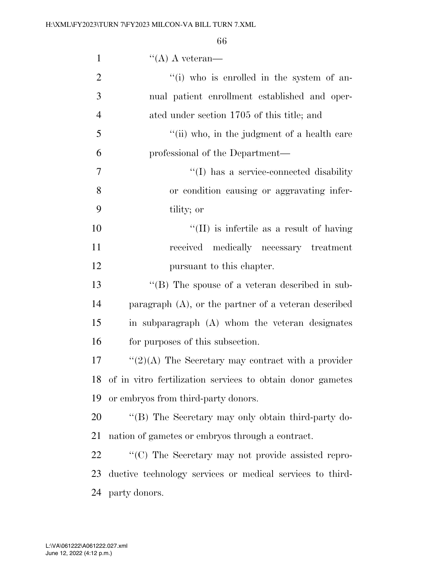| $\mathbf{1}$   | $\lq\lq (A)$ A veteran—                                       |
|----------------|---------------------------------------------------------------|
| $\overline{2}$ | "(i) who is enrolled in the system of an-                     |
| 3              | nual patient enrollment established and oper-                 |
| $\overline{4}$ | ated under section 1705 of this title; and                    |
| 5              | "(ii) who, in the judgment of a health care                   |
| 6              | professional of the Department—                               |
| $\overline{7}$ | "(I) has a service-connected disability                       |
| 8              | or condition causing or aggravating infer-                    |
| 9              | tility; or                                                    |
| 10             | $\lq\lq$ (II) is infertile as a result of having              |
| 11             | received<br>medically necessary treatment                     |
| 12             | pursuant to this chapter.                                     |
| 13             | $\lq\lq$ (B) The spouse of a veteran described in sub-        |
| 14             | paragraph $(A)$ , or the partner of a veteran described       |
| 15             | in subparagraph (A) whom the veteran designates               |
| 16             | for purposes of this subsection.                              |
| 17             | " $(2)(A)$ The Secretary may contract with a provider         |
|                | 18 of in vitro fertilization services to obtain donor gametes |
| 19             | or embryos from third-party donors.                           |
| 20             | "(B) The Secretary may only obtain third-party do-            |
| 21             | nation of gametes or embryos through a contract.              |
| 22             | "(C) The Secretary may not provide assisted repro-            |
| 23             | ductive technology services or medical services to third-     |
| 24             | party donors.                                                 |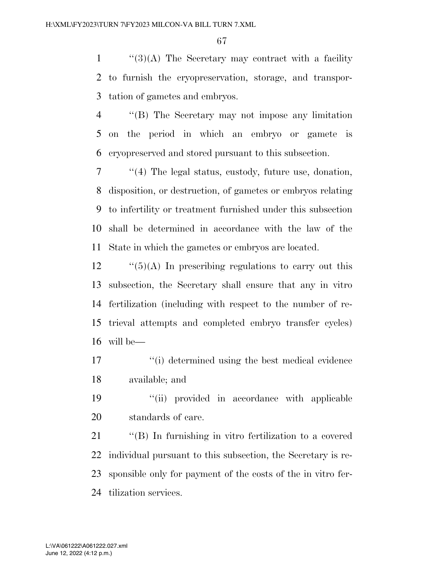''(3)(A) The Secretary may contract with a facility to furnish the cryopreservation, storage, and transpor-tation of gametes and embryos.

 ''(B) The Secretary may not impose any limitation on the period in which an embryo or gamete is cryopreserved and stored pursuant to this subsection.

 ''(4) The legal status, custody, future use, donation, disposition, or destruction, of gametes or embryos relating to infertility or treatment furnished under this subsection shall be determined in accordance with the law of the State in which the gametes or embryos are located.

 ''(5)(A) In prescribing regulations to carry out this subsection, the Secretary shall ensure that any in vitro fertilization (including with respect to the number of re- trieval attempts and completed embryo transfer cycles) will be—

 ''(i) determined using the best medical evidence available; and

 ''(ii) provided in accordance with applicable standards of care.

 ''(B) In furnishing in vitro fertilization to a covered individual pursuant to this subsection, the Secretary is re- sponsible only for payment of the costs of the in vitro fer-tilization services.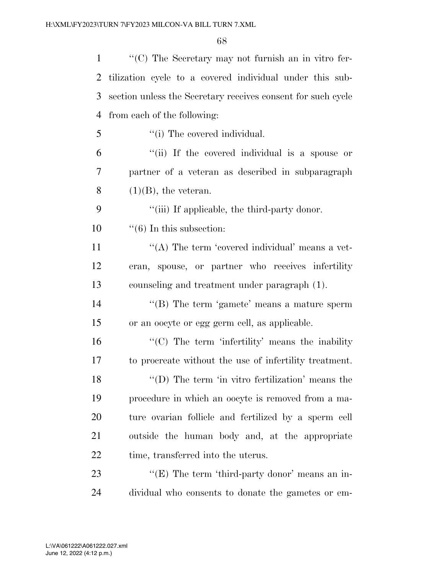| $\mathbf{1}$ | $\lq\lq$ (C) The Secretary may not furnish an in vitro fer-  |
|--------------|--------------------------------------------------------------|
| 2            | tilization cycle to a covered individual under this sub-     |
| 3            | section unless the Secretary receives consent for such cycle |
| 4            | from each of the following:                                  |
| 5            | "(i) The covered individual.                                 |
| 6            | "(ii) If the covered individual is a spouse or               |
| $\tau$       | partner of a veteran as described in subparagraph            |
| 8            | $(1)(B)$ , the veteran.                                      |
| 9            | "(iii) If applicable, the third-party donor.                 |
| 10           | $\lq\lq(6)$ In this subsection:                              |
| 11           | "(A) The term 'covered individual' means a vet-              |
| 12           | eran, spouse, or partner who receives infertility            |
| 13           | counseling and treatment under paragraph (1).                |
| 14           | "(B) The term 'gamete' means a mature sperm                  |
| 15           | or an oocyte or egg germ cell, as applicable.                |
| 16           | $\lq\lq$ (C) The term 'infertility' means the inability      |
| 17           | to procreate without the use of infertility treatment.       |
| 18           | $\lq\lq$ (D) The term 'in vitro fertilization' means the     |
| 19           | procedure in which an oocyte is removed from a ma-           |
| 20           | ture ovarian follicle and fertilized by a sperm cell         |
| 21           | outside the human body and, at the appropriate               |
| 22           | time, transferred into the uterus.                           |
| 23           | " $(E)$ The term 'third-party donor' means an in-            |
| 24           | dividual who consents to donate the gametes or em-           |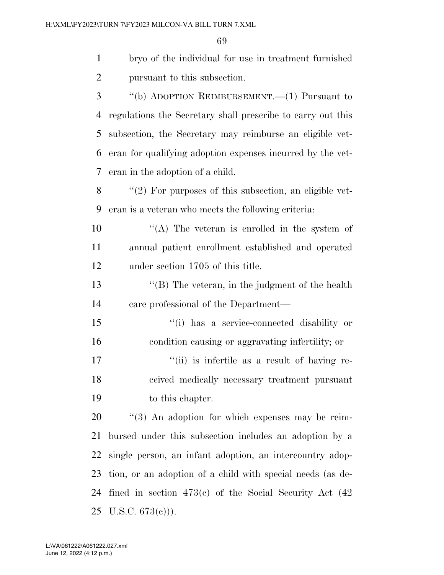bryo of the individual for use in treatment furnished pursuant to this subsection.

 ''(b) ADOPTION REIMBURSEMENT.—(1) Pursuant to regulations the Secretary shall prescribe to carry out this subsection, the Secretary may reimburse an eligible vet- eran for qualifying adoption expenses incurred by the vet-eran in the adoption of a child.

8 "(2) For purposes of this subsection, an eligible vet-eran is a veteran who meets the following criteria:

10  $\langle (A)$  The veteran is enrolled in the system of annual patient enrollment established and operated under section 1705 of this title.

 ''(B) The veteran, in the judgment of the health care professional of the Department—

 ''(i) has a service-connected disability or condition causing or aggravating infertility; or

17  $\frac{1}{10}$  is infertile as a result of having re- ceived medically necessary treatment pursuant to this chapter.

 $\frac{1}{20}$  (3) An adoption for which expenses may be reim- bursed under this subsection includes an adoption by a single person, an infant adoption, an intercountry adop- tion, or an adoption of a child with special needs (as de- fined in section 473(c) of the Social Security Act (42 25 U.S.C.  $673(e)$ ).

June 12, 2022 (4:12 p.m.) L:\VA\061222\A061222.027.xml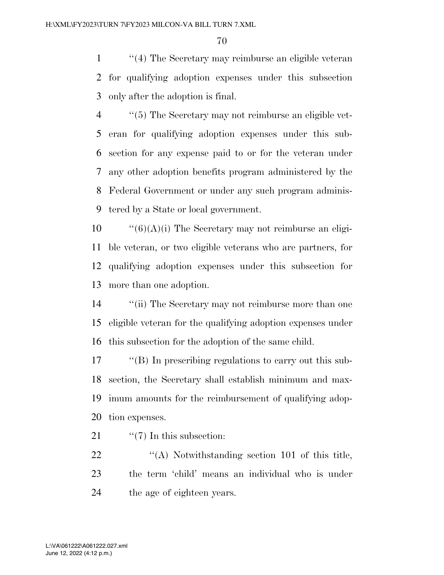''(4) The Secretary may reimburse an eligible veteran for qualifying adoption expenses under this subsection only after the adoption is final.

 ''(5) The Secretary may not reimburse an eligible vet- eran for qualifying adoption expenses under this sub- section for any expense paid to or for the veteran under any other adoption benefits program administered by the Federal Government or under any such program adminis-tered by a State or local government.

 $\frac{10}{10}$  (6)(A)(i) The Secretary may not reimburse an eligi- ble veteran, or two eligible veterans who are partners, for qualifying adoption expenses under this subsection for more than one adoption.

 ''(ii) The Secretary may not reimburse more than one eligible veteran for the qualifying adoption expenses under this subsection for the adoption of the same child.

 ''(B) In prescribing regulations to carry out this sub- section, the Secretary shall establish minimum and max- imum amounts for the reimbursement of qualifying adop-tion expenses.

21  $\frac{1}{2}$   $\frac{1}{2}$  In this subsection:

22 ''(A) Notwithstanding section 101 of this title, the term 'child' means an individual who is under the age of eighteen years.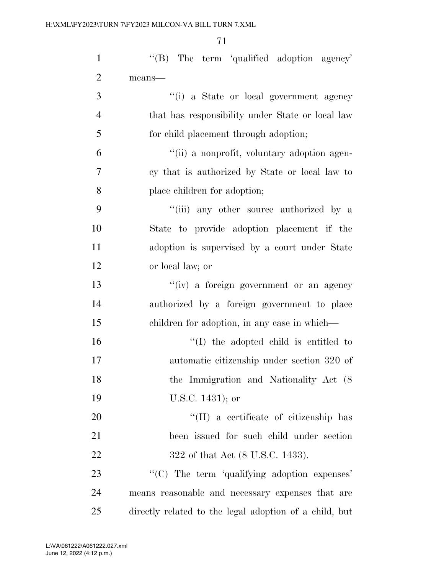| $\mathbf{1}$   | $\lq\lq(B)$ The term 'qualified adoption agency'       |
|----------------|--------------------------------------------------------|
| $\overline{2}$ | means-                                                 |
| 3              | "(i) a State or local government agency                |
| $\overline{4}$ | that has responsibility under State or local law       |
| 5              | for child placement through adoption;                  |
| 6              | "(ii) a nonprofit, voluntary adoption agen-            |
| 7              | cy that is authorized by State or local law to         |
| 8              | place children for adoption;                           |
| 9              | "(iii) any other source authorized by a                |
| 10             | State to provide adoption placement if the             |
| 11             | adoption is supervised by a court under State          |
| 12             | or local law; or                                       |
| 13             | "(iv) a foreign government or an agency                |
| 14             | authorized by a foreign government to place            |
| 15             | children for adoption, in any case in which—           |
| 16             | $\lq\lq$ (I) the adopted child is entitled to          |
| 17             | automatic citizenship under section 320 of             |
| 18             | the Immigration and Nationality Act (8)                |
| 19             | U.S.C. 1431); or                                       |
| 20             | "(II) a certificate of citizenship has                 |
| 21             | been issued for such child under section               |
| 22             | 322 of that Act (8 U.S.C. 1433).                       |
| 23             | "(C) The term 'qualifying adoption expenses'           |
| 24             | means reasonable and necessary expenses that are       |
| 25             | directly related to the legal adoption of a child, but |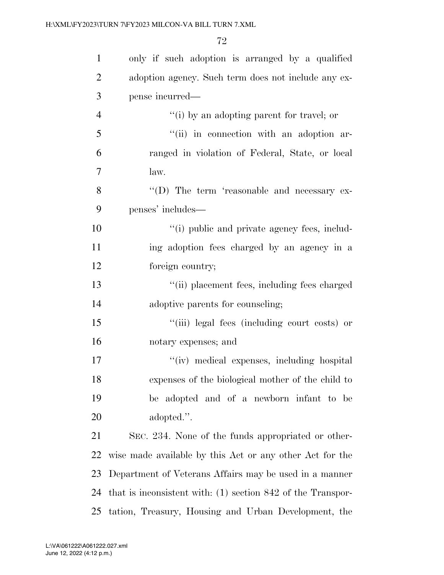| $\mathbf{1}$   | only if such adoption is arranged by a qualified              |
|----------------|---------------------------------------------------------------|
| $\overline{2}$ | adoption agency. Such term does not include any ex-           |
| 3              | pense incurred—                                               |
| $\overline{4}$ | "(i) by an adopting parent for travel; or                     |
| 5              | "(ii) in connection with an adoption ar-                      |
| 6              | ranged in violation of Federal, State, or local               |
| 7              | law.                                                          |
| 8              | "(D) The term 'reasonable and necessary ex-                   |
| 9              | penses' includes—                                             |
| 10             | "(i) public and private agency fees, includ-                  |
| 11             | ing adoption fees charged by an agency in a                   |
| 12             | foreign country;                                              |
| 13             | "(ii) placement fees, including fees charged                  |
| 14             | adoptive parents for counseling;                              |
| 15             | "(iii) legal fees (including court costs) or                  |
| 16             | notary expenses; and                                          |
| 17             | "(iv) medical expenses, including hospital                    |
| 18             | expenses of the biological mother of the child to             |
| 19             | be adopted and of a newborn infant to be                      |
| 20             | adopted.".                                                    |
| 21             | SEC. 234. None of the funds appropriated or other-            |
| 22             | wise made available by this Act or any other Act for the      |
| 23             | Department of Veterans Affairs may be used in a manner        |
| 24             | that is inconsistent with: $(1)$ section 842 of the Transpor- |
| 25             | tation, Treasury, Housing and Urban Development, the          |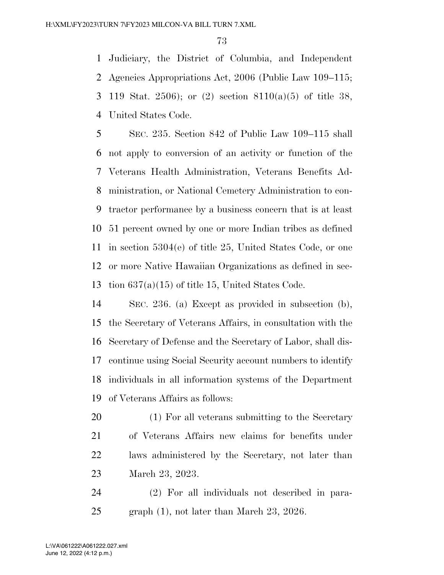Judiciary, the District of Columbia, and Independent Agencies Appropriations Act, 2006 (Public Law 109–115; 119 Stat. 2506); or (2) section 8110(a)(5) of title 38, United States Code.

 SEC. 235. Section 842 of Public Law 109–115 shall not apply to conversion of an activity or function of the Veterans Health Administration, Veterans Benefits Ad- ministration, or National Cemetery Administration to con- tractor performance by a business concern that is at least 51 percent owned by one or more Indian tribes as defined in section 5304(e) of title 25, United States Code, or one or more Native Hawaiian Organizations as defined in sec-tion 637(a)(15) of title 15, United States Code.

 SEC. 236. (a) Except as provided in subsection (b), the Secretary of Veterans Affairs, in consultation with the Secretary of Defense and the Secretary of Labor, shall dis- continue using Social Security account numbers to identify individuals in all information systems of the Department of Veterans Affairs as follows:

 (1) For all veterans submitting to the Secretary of Veterans Affairs new claims for benefits under laws administered by the Secretary, not later than March 23, 2023.

 (2) For all individuals not described in para-25 graph (1), not later than March 23, 2026.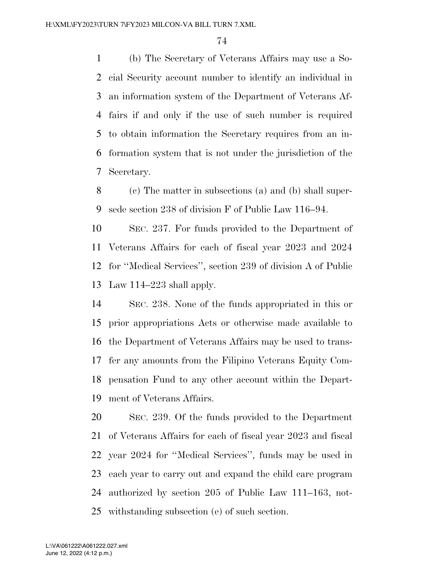(b) The Secretary of Veterans Affairs may use a So- cial Security account number to identify an individual in an information system of the Department of Veterans Af- fairs if and only if the use of such number is required to obtain information the Secretary requires from an in- formation system that is not under the jurisdiction of the Secretary.

 (c) The matter in subsections (a) and (b) shall super-sede section 238 of division F of Public Law 116–94.

 SEC. 237. For funds provided to the Department of Veterans Affairs for each of fiscal year 2023 and 2024 for ''Medical Services'', section 239 of division A of Public Law 114–223 shall apply.

 SEC. 238. None of the funds appropriated in this or prior appropriations Acts or otherwise made available to the Department of Veterans Affairs may be used to trans- fer any amounts from the Filipino Veterans Equity Com- pensation Fund to any other account within the Depart-ment of Veterans Affairs.

 SEC. 239. Of the funds provided to the Department of Veterans Affairs for each of fiscal year 2023 and fiscal year 2024 for ''Medical Services'', funds may be used in each year to carry out and expand the child care program authorized by section 205 of Public Law 111–163, not-withstanding subsection (e) of such section.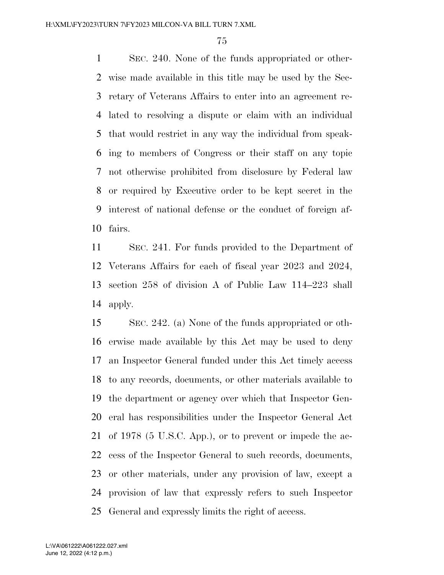SEC. 240. None of the funds appropriated or other- wise made available in this title may be used by the Sec- retary of Veterans Affairs to enter into an agreement re- lated to resolving a dispute or claim with an individual that would restrict in any way the individual from speak- ing to members of Congress or their staff on any topic not otherwise prohibited from disclosure by Federal law or required by Executive order to be kept secret in the interest of national defense or the conduct of foreign af-fairs.

 SEC. 241. For funds provided to the Department of Veterans Affairs for each of fiscal year 2023 and 2024, section 258 of division A of Public Law 114–223 shall apply.

 SEC. 242. (a) None of the funds appropriated or oth- erwise made available by this Act may be used to deny an Inspector General funded under this Act timely access to any records, documents, or other materials available to the department or agency over which that Inspector Gen- eral has responsibilities under the Inspector General Act of 1978 (5 U.S.C. App.), or to prevent or impede the ac- cess of the Inspector General to such records, documents, or other materials, under any provision of law, except a provision of law that expressly refers to such Inspector General and expressly limits the right of access.

June 12, 2022 (4:12 p.m.) L:\VA\061222\A061222.027.xml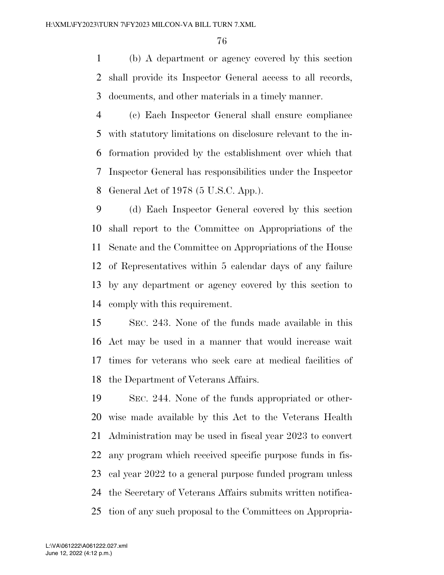(b) A department or agency covered by this section shall provide its Inspector General access to all records, documents, and other materials in a timely manner.

 (c) Each Inspector General shall ensure compliance with statutory limitations on disclosure relevant to the in- formation provided by the establishment over which that Inspector General has responsibilities under the Inspector General Act of 1978 (5 U.S.C. App.).

 (d) Each Inspector General covered by this section shall report to the Committee on Appropriations of the Senate and the Committee on Appropriations of the House of Representatives within 5 calendar days of any failure by any department or agency covered by this section to comply with this requirement.

 SEC. 243. None of the funds made available in this Act may be used in a manner that would increase wait times for veterans who seek care at medical facilities of the Department of Veterans Affairs.

 SEC. 244. None of the funds appropriated or other- wise made available by this Act to the Veterans Health Administration may be used in fiscal year 2023 to convert any program which received specific purpose funds in fis- cal year 2022 to a general purpose funded program unless the Secretary of Veterans Affairs submits written notifica-tion of any such proposal to the Committees on Appropria-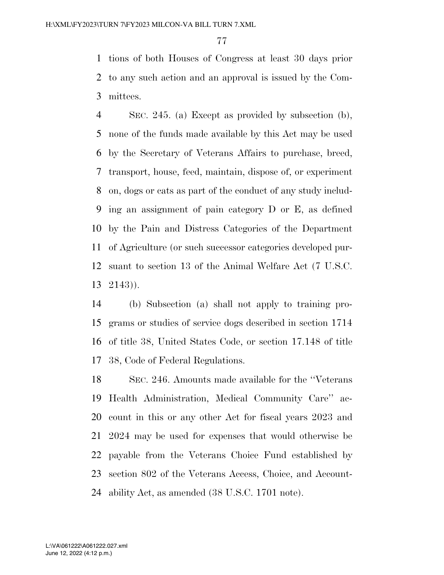tions of both Houses of Congress at least 30 days prior to any such action and an approval is issued by the Com-mittees.

 SEC. 245. (a) Except as provided by subsection (b), none of the funds made available by this Act may be used by the Secretary of Veterans Affairs to purchase, breed, transport, house, feed, maintain, dispose of, or experiment on, dogs or cats as part of the conduct of any study includ- ing an assignment of pain category D or E, as defined by the Pain and Distress Categories of the Department of Agriculture (or such successor categories developed pur- suant to section 13 of the Animal Welfare Act (7 U.S.C. 2143)).

 (b) Subsection (a) shall not apply to training pro- grams or studies of service dogs described in section 1714 of title 38, United States Code, or section 17.148 of title 38, Code of Federal Regulations.

 SEC. 246. Amounts made available for the ''Veterans Health Administration, Medical Community Care'' ac- count in this or any other Act for fiscal years 2023 and 2024 may be used for expenses that would otherwise be payable from the Veterans Choice Fund established by section 802 of the Veterans Access, Choice, and Account-ability Act, as amended (38 U.S.C. 1701 note).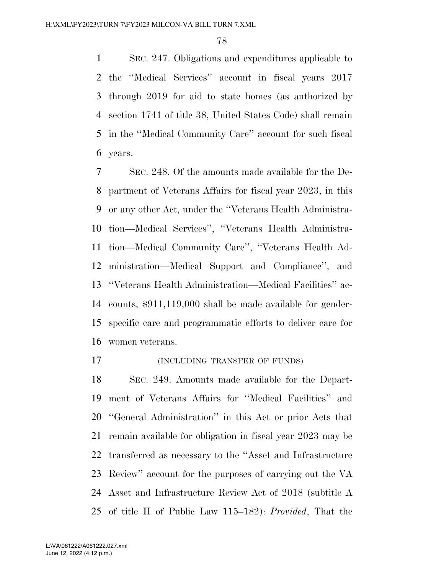SEC. 247. Obligations and expenditures applicable to the ''Medical Services'' account in fiscal years 2017 through 2019 for aid to state homes (as authorized by section 1741 of title 38, United States Code) shall remain in the ''Medical Community Care'' account for such fiscal years.

 SEC. 248. Of the amounts made available for the De- partment of Veterans Affairs for fiscal year 2023, in this or any other Act, under the ''Veterans Health Administra- tion—Medical Services'', ''Veterans Health Administra- tion—Medical Community Care'', ''Veterans Health Ad- ministration—Medical Support and Compliance'', and ''Veterans Health Administration—Medical Facilities'' ac- counts, \$911,119,000 shall be made available for gender- specific care and programmatic efforts to deliver care for women veterans.

#### (INCLUDING TRANSFER OF FUNDS)

 SEC. 249. Amounts made available for the Depart- ment of Veterans Affairs for ''Medical Facilities'' and ''General Administration'' in this Act or prior Acts that remain available for obligation in fiscal year 2023 may be transferred as necessary to the ''Asset and Infrastructure Review'' account for the purposes of carrying out the VA Asset and Infrastructure Review Act of 2018 (subtitle A of title II of Public Law 115–182): *Provided*, That the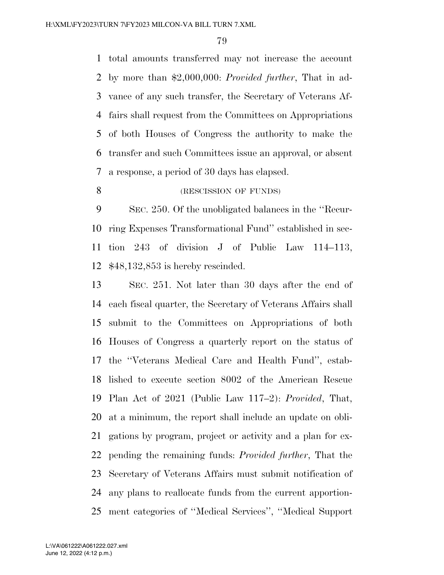total amounts transferred may not increase the account by more than \$2,000,000: *Provided further*, That in ad- vance of any such transfer, the Secretary of Veterans Af- fairs shall request from the Committees on Appropriations of both Houses of Congress the authority to make the transfer and such Committees issue an approval, or absent a response, a period of 30 days has elapsed.

## 8 (RESCISSION OF FUNDS)

 SEC. 250. Of the unobligated balances in the ''Recur- ring Expenses Transformational Fund'' established in sec- tion 243 of division J of Public Law 114–113, \$48,132,853 is hereby rescinded.

 SEC. 251. Not later than 30 days after the end of each fiscal quarter, the Secretary of Veterans Affairs shall submit to the Committees on Appropriations of both Houses of Congress a quarterly report on the status of the ''Veterans Medical Care and Health Fund'', estab- lished to execute section 8002 of the American Rescue Plan Act of 2021 (Public Law 117–2): *Provided*, That, at a minimum, the report shall include an update on obli- gations by program, project or activity and a plan for ex- pending the remaining funds: *Provided further*, That the Secretary of Veterans Affairs must submit notification of any plans to reallocate funds from the current apportion-ment categories of ''Medical Services'', ''Medical Support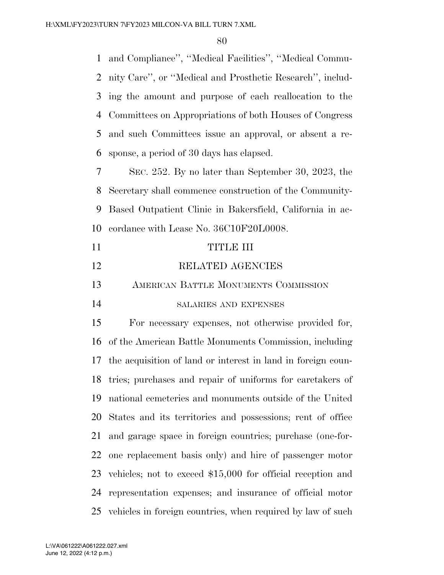and Compliance'', ''Medical Facilities'', ''Medical Commu- nity Care'', or ''Medical and Prosthetic Research'', includ- ing the amount and purpose of each reallocation to the Committees on Appropriations of both Houses of Congress and such Committees issue an approval, or absent a re-sponse, a period of 30 days has elapsed.

 SEC. 252. By no later than September 30, 2023, the Secretary shall commence construction of the Community- Based Outpatient Clinic in Bakersfield, California in ac-cordance with Lease No. 36C10F20L0008.

| 11 | TITIR III                                    |
|----|----------------------------------------------|
| 12 | RELATED AGENCIES                             |
| 13 | AMERICAN BATTLE MONUMENTS COMMISSION         |
| 14 | SALARIES AND EXPENSES                        |
| 15 | For negation expenses not otherwise provided |

 For necessary expenses, not otherwise provided for, of the American Battle Monuments Commission, including the acquisition of land or interest in land in foreign coun- tries; purchases and repair of uniforms for caretakers of national cemeteries and monuments outside of the United States and its territories and possessions; rent of office and garage space in foreign countries; purchase (one-for- one replacement basis only) and hire of passenger motor vehicles; not to exceed \$15,000 for official reception and representation expenses; and insurance of official motor vehicles in foreign countries, when required by law of such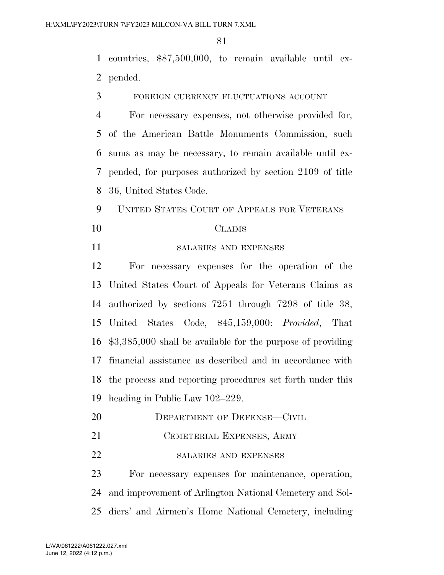countries, \$87,500,000, to remain available until ex-pended.

FOREIGN CURRENCY FLUCTUATIONS ACCOUNT

 For necessary expenses, not otherwise provided for, of the American Battle Monuments Commission, such sums as may be necessary, to remain available until ex- pended, for purposes authorized by section 2109 of title 36, United States Code.

UNITED STATES COURT OF APPEALS FOR VETERANS

### CLAIMS

SALARIES AND EXPENSES

 For necessary expenses for the operation of the United States Court of Appeals for Veterans Claims as authorized by sections 7251 through 7298 of title 38, United States Code, \$45,159,000: *Provided*, That \$3,385,000 shall be available for the purpose of providing financial assistance as described and in accordance with the process and reporting procedures set forth under this heading in Public Law 102–229.

- 20 DEPARTMENT OF DEFENSE—CIVIL
- CEMETERIAL EXPENSES, ARMY
- 22 SALARIES AND EXPENSES

 For necessary expenses for maintenance, operation, and improvement of Arlington National Cemetery and Sol-diers' and Airmen's Home National Cemetery, including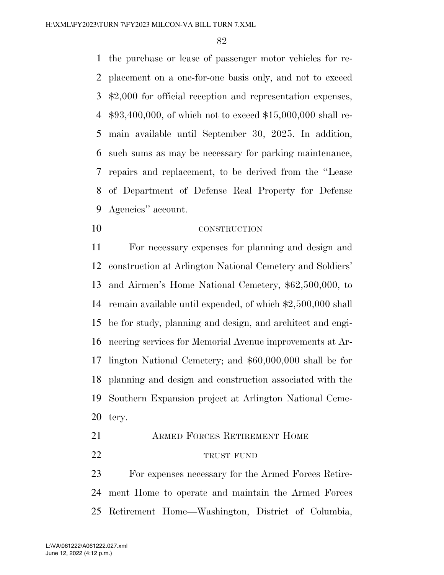the purchase or lease of passenger motor vehicles for re- placement on a one-for-one basis only, and not to exceed \$2,000 for official reception and representation expenses, \$93,400,000, of which not to exceed \$15,000,000 shall re- main available until September 30, 2025. In addition, such sums as may be necessary for parking maintenance, repairs and replacement, to be derived from the ''Lease of Department of Defense Real Property for Defense Agencies'' account.

CONSTRUCTION

 For necessary expenses for planning and design and construction at Arlington National Cemetery and Soldiers' and Airmen's Home National Cemetery, \$62,500,000, to remain available until expended, of which \$2,500,000 shall be for study, planning and design, and architect and engi- neering services for Memorial Avenue improvements at Ar- lington National Cemetery; and \$60,000,000 shall be for planning and design and construction associated with the Southern Expansion project at Arlington National Ceme-tery.

 ARMED FORCES RETIREMENT HOME 22 TRUST FUND

 For expenses necessary for the Armed Forces Retire- ment Home to operate and maintain the Armed Forces Retirement Home—Washington, District of Columbia,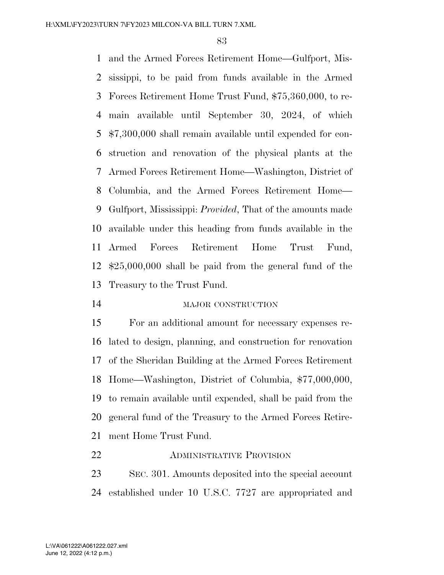and the Armed Forces Retirement Home—Gulfport, Mis- sissippi, to be paid from funds available in the Armed Forces Retirement Home Trust Fund, \$75,360,000, to re- main available until September 30, 2024, of which \$7,300,000 shall remain available until expended for con- struction and renovation of the physical plants at the Armed Forces Retirement Home—Washington, District of Columbia, and the Armed Forces Retirement Home— Gulfport, Mississippi: *Provided*, That of the amounts made available under this heading from funds available in the Armed Forces Retirement Home Trust Fund, \$25,000,000 shall be paid from the general fund of the Treasury to the Trust Fund.

MAJOR CONSTRUCTION

 For an additional amount for necessary expenses re- lated to design, planning, and construction for renovation of the Sheridan Building at the Armed Forces Retirement Home—Washington, District of Columbia, \$77,000,000, to remain available until expended, shall be paid from the general fund of the Treasury to the Armed Forces Retire-ment Home Trust Fund.

**ADMINISTRATIVE PROVISION** 

 SEC. 301. Amounts deposited into the special account established under 10 U.S.C. 7727 are appropriated and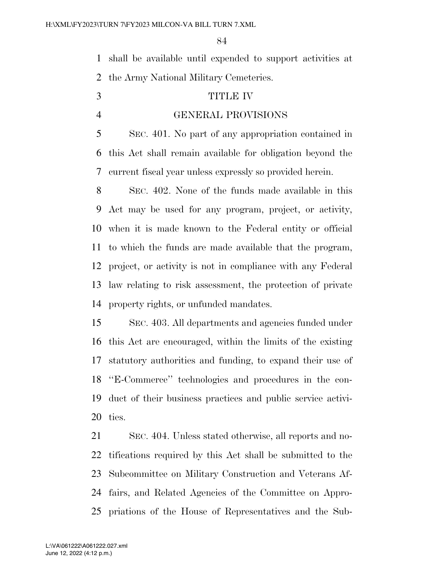shall be available until expended to support activities at the Army National Military Cemeteries.

## TITLE IV

#### GENERAL PROVISIONS

 SEC. 401. No part of any appropriation contained in this Act shall remain available for obligation beyond the current fiscal year unless expressly so provided herein.

 SEC. 402. None of the funds made available in this Act may be used for any program, project, or activity, when it is made known to the Federal entity or official to which the funds are made available that the program, project, or activity is not in compliance with any Federal law relating to risk assessment, the protection of private property rights, or unfunded mandates.

 SEC. 403. All departments and agencies funded under this Act are encouraged, within the limits of the existing statutory authorities and funding, to expand their use of ''E-Commerce'' technologies and procedures in the con- duct of their business practices and public service activi-ties.

 SEC. 404. Unless stated otherwise, all reports and no- tifications required by this Act shall be submitted to the Subcommittee on Military Construction and Veterans Af- fairs, and Related Agencies of the Committee on Appro-priations of the House of Representatives and the Sub-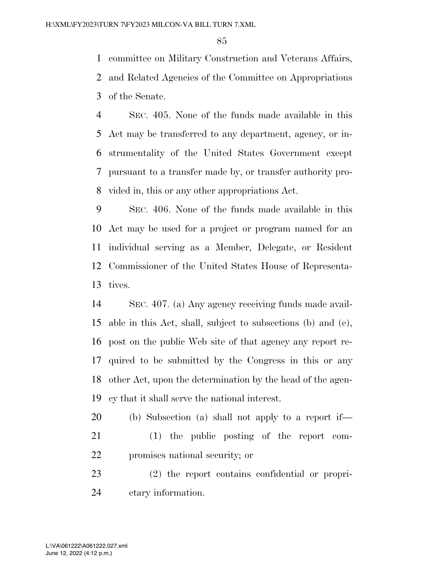committee on Military Construction and Veterans Affairs, and Related Agencies of the Committee on Appropriations of the Senate.

 SEC. 405. None of the funds made available in this Act may be transferred to any department, agency, or in- strumentality of the United States Government except pursuant to a transfer made by, or transfer authority pro-vided in, this or any other appropriations Act.

 SEC. 406. None of the funds made available in this Act may be used for a project or program named for an individual serving as a Member, Delegate, or Resident Commissioner of the United States House of Representa-tives.

 SEC. 407. (a) Any agency receiving funds made avail- able in this Act, shall, subject to subsections (b) and (c), post on the public Web site of that agency any report re- quired to be submitted by the Congress in this or any other Act, upon the determination by the head of the agen-cy that it shall serve the national interest.

 (b) Subsection (a) shall not apply to a report if— (1) the public posting of the report com-promises national security; or

 (2) the report contains confidential or propri-etary information.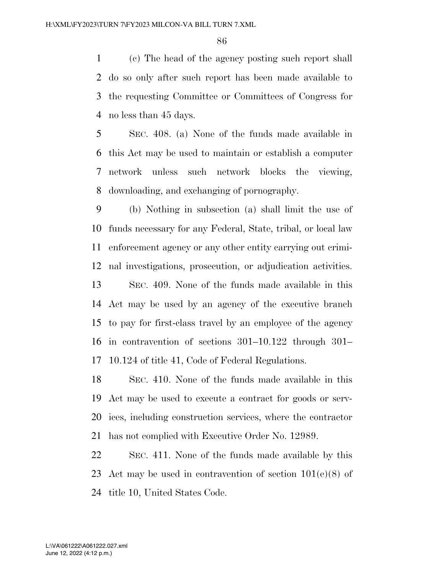(c) The head of the agency posting such report shall do so only after such report has been made available to the requesting Committee or Committees of Congress for no less than 45 days.

 SEC. 408. (a) None of the funds made available in this Act may be used to maintain or establish a computer network unless such network blocks the viewing, downloading, and exchanging of pornography.

 (b) Nothing in subsection (a) shall limit the use of funds necessary for any Federal, State, tribal, or local law enforcement agency or any other entity carrying out crimi- nal investigations, prosecution, or adjudication activities. SEC. 409. None of the funds made available in this Act may be used by an agency of the executive branch to pay for first-class travel by an employee of the agency in contravention of sections 301–10.122 through 301– 10.124 of title 41, Code of Federal Regulations.

 SEC. 410. None of the funds made available in this Act may be used to execute a contract for goods or serv- ices, including construction services, where the contractor has not complied with Executive Order No. 12989.

 SEC. 411. None of the funds made available by this Act may be used in contravention of section 101(e)(8) of title 10, United States Code.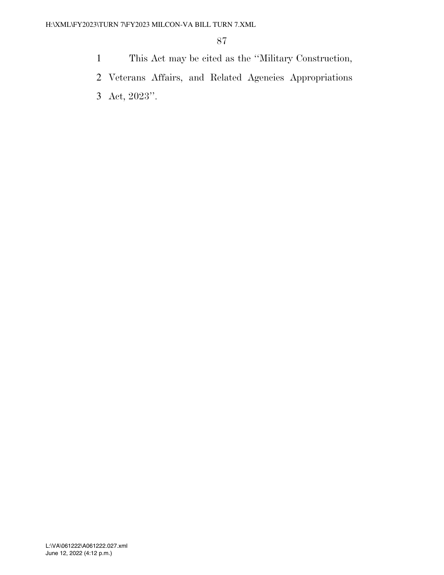- 1 This Act may be cited as the ''Military Construction,
- 2 Veterans Affairs, and Related Agencies Appropriations
- 3 Act, 2023''.